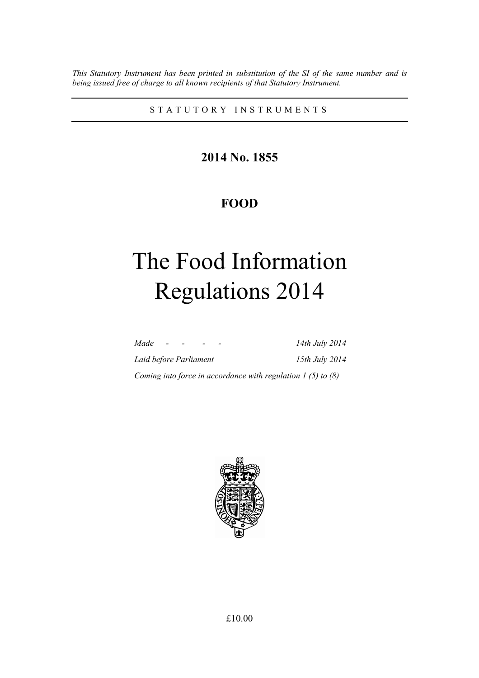*This Statutory Instrument has been printed in substitution of the SI of the same number and is being issued free of charge to all known recipients of that Statutory Instrument.* 

STATUTORY INSTRUMENTS

**2014 No. 1855** 

# **FOOD**

# The Food Information Regulations 2014

| Made<br>$\sim$ $\sim$                                          | 14th July 2014 |
|----------------------------------------------------------------|----------------|
| Laid before Parliament                                         | 15th July 2014 |
| Coming into force in accordance with regulation $1$ (5) to (8) |                |

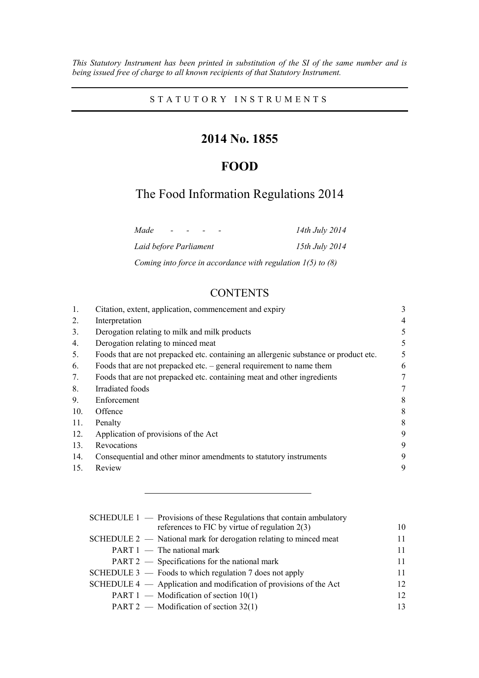*This Statutory Instrument has been printed in substitution of the SI of the same number and is being issued free of charge to all known recipients of that Statutory Instrument.* 

STATUTORY INSTRUMENTS

# **2014 No. 1855**

# **FOOD**

# The Food Information Regulations 2014

| Made                   | $\sim$ |  | 14th July 2014                                                  |
|------------------------|--------|--|-----------------------------------------------------------------|
| Laid before Parliament |        |  | 15th July 2014                                                  |
|                        |        |  | Coming into force in accordance with regulation $1(5)$ to $(8)$ |

# **CONTENTS**

| 1.  | Citation, extent, application, commencement and expiry                               | 3 |
|-----|--------------------------------------------------------------------------------------|---|
| 2.  | Interpretation                                                                       | 4 |
| 3.  | Derogation relating to milk and milk products                                        | 5 |
| 4.  | Derogation relating to minced meat                                                   | 5 |
| 5.  | Foods that are not prepacked etc. containing an allergenic substance or product etc. | 5 |
| 6.  | Foods that are not prepacked etc. $-$ general requirement to name them               | 6 |
| 7.  | Foods that are not prepacked etc. containing meat and other ingredients              |   |
| 8.  | Irradiated foods                                                                     | 7 |
| 9.  | Enforcement                                                                          | 8 |
| 10. | Offence                                                                              | 8 |
| 11. | Penalty                                                                              | 8 |
| 12. | Application of provisions of the Act                                                 | 9 |
| 13. | Revocations                                                                          | 9 |
| 14. | Consequential and other minor amendments to statutory instruments                    | 9 |
| 15. | Review                                                                               | 9 |
|     |                                                                                      |   |

| SCHEDULE $1$ — Provisions of these Regulations that contain ambulatory |    |
|------------------------------------------------------------------------|----|
| references to FIC by virtue of regulation $2(3)$                       | 10 |
| SCHEDULE 2 — National mark for derogation relating to minced meat      | 11 |
| $PART 1$ — The national mark                                           | 11 |
| PART 2 — Specifications for the national mark                          | 11 |
| SCHEDULE $3$ — Foods to which regulation 7 does not apply              | 11 |
| SCHEDULE $4 -$ Application and modification of provisions of the Act   | 12 |
| PART $1$ — Modification of section 10(1)                               | 12 |
| PART 2 — Modification of section $32(1)$                               | 13 |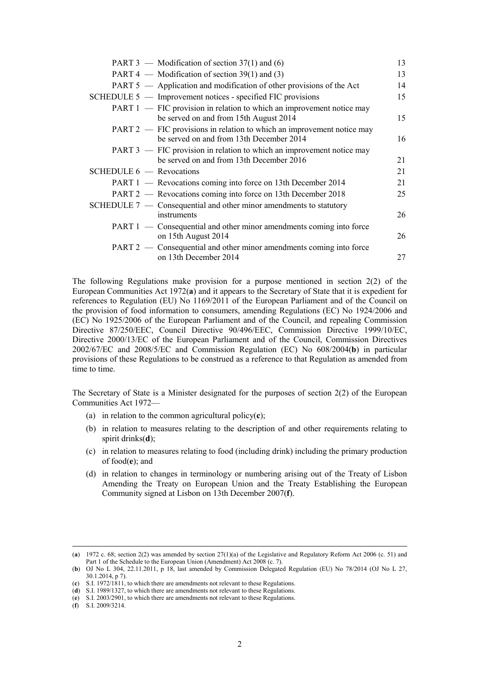| PART 3 — Modification of section $37(1)$ and (6)                                                                   | 13 |
|--------------------------------------------------------------------------------------------------------------------|----|
| PART 4 — Modification of section 39(1) and (3)                                                                     | 13 |
| PART 5 — Application and modification of other provisions of the Act                                               | 14 |
| SCHEDULE 5 — Improvement notices - specified FIC provisions                                                        | 15 |
| PART 1 — FIC provision in relation to which an improvement notice may<br>be served on and from 15th August 2014    | 15 |
| PART 2 — FIC provisions in relation to which an improvement notice may<br>be served on and from 13th December 2014 | 16 |
| PART 3 — FIC provision in relation to which an improvement notice may<br>be served on and from 13th December 2016  | 21 |
| SCHEDULE 6 - Revocations                                                                                           | 21 |
| PART 1 — Revocations coming into force on 13th December 2014                                                       | 21 |
| PART 2 — Revocations coming into force on 13th December 2018                                                       | 25 |
| SCHEDULE $7$ — Consequential and other minor amendments to statutory<br>instruments                                | 26 |
| PART 1 — Consequential and other minor amendments coming into force<br>on 15th August 2014                         | 26 |
| PART 2 — Consequential and other minor amendments coming into force<br>on 13th December 2014                       | 27 |

The following Regulations make provision for a purpose mentioned in section  $2(2)$  of the European Communities Act 1972(**a**) and it appears to the Secretary of State that it is expedient for references to Regulation (EU) No 1169/2011 of the European Parliament and of the Council on the provision of food information to consumers, amending Regulations (EC) No 1924/2006 and (EC) No 1925/2006 of the European Parliament and of the Council, and repealing Commission Directive 87/250/EEC, Council Directive 90/496/EEC, Commission Directive 1999/10/EC, Directive 2000/13/EC of the European Parliament and of the Council, Commission Directives 2002/67/EC and 2008/5/EC and Commission Regulation (EC) No 608/2004(**b**) in particular provisions of these Regulations to be construed as a reference to that Regulation as amended from time to time.

The Secretary of State is a Minister designated for the purposes of section 2(2) of the European Communities Act 1972—

- (a) in relation to the common agricultural policy(**c**);
- (b) in relation to measures relating to the description of and other requirements relating to spirit drinks(**d**);
- (c) in relation to measures relating to food (including drink) including the primary production of food(**e**); and
- (d) in relation to changes in terminology or numbering arising out of the Treaty of Lisbon Amending the Treaty on European Union and the Treaty Establishing the European Community signed at Lisbon on 13th December 2007(**f**).

 <sup>(</sup>**a**) 1972 c. 68; section 2(2) was amended by section 27(1)(a) of the Legislative and Regulatory Reform Act 2006 (c. 51) and Part 1 of the Schedule to the European Union (Amendment) Act 2008 (c. 7).

<sup>(</sup>**b**) OJ No L 304, 22.11.2011, p 18, last amended by Commission Delegated Regulation (EU) No 78/2014 (OJ No L 27, 30.1.2014, p 7).

<sup>(</sup>**c**) S.I. 1972/1811, to which there are amendments not relevant to these Regulations.

<sup>(</sup>**d**) S.I. 1989/1327, to which there are amendments not relevant to these Regulations.

<sup>(</sup>**e**) S.I. 2003/2901, to which there are amendments not relevant to these Regulations.

<sup>(</sup>**f**) S.I. 2009/3214.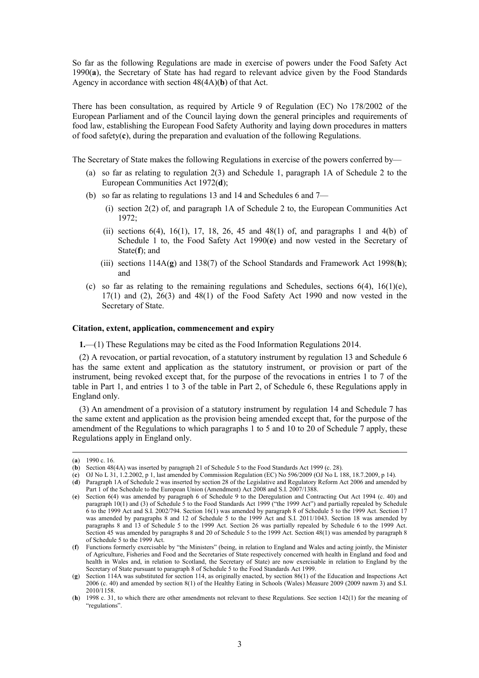So far as the following Regulations are made in exercise of powers under the Food Safety Act 1990(**a**), the Secretary of State has had regard to relevant advice given by the Food Standards Agency in accordance with section 48(4A)(**b**) of that Act.

There has been consultation, as required by Article 9 of Regulation (EC) No 178/2002 of the European Parliament and of the Council laying down the general principles and requirements of food law, establishing the European Food Safety Authority and laying down procedures in matters of food safety( $\mathbf c$ ), during the preparation and evaluation of the following Regulations.

The Secretary of State makes the following Regulations in exercise of the powers conferred by—

- (a) so far as relating to regulation 2(3) and Schedule 1, paragraph 1A of Schedule 2 to the European Communities Act 1972(**d**);
- (b) so far as relating to regulations 13 and 14 and Schedules 6 and 7—
	- (i) section 2(2) of, and paragraph 1A of Schedule 2 to, the European Communities Act 1972;
	- (ii) sections  $6(4)$ ,  $16(1)$ ,  $17$ ,  $18$ ,  $26$ ,  $45$  and  $48(1)$  of, and paragraphs 1 and  $4(b)$  of Schedule 1 to, the Food Safety Act 1990(**e**) and now vested in the Secretary of State(**f**); and
	- (iii) sections 114A(**g**) and 138(7) of the School Standards and Framework Act 1998(**h**); and
- (c) so far as relating to the remaining regulations and Schedules, sections  $6(4)$ ,  $16(1)(e)$ ,  $17(1)$  and  $(2)$ ,  $26(3)$  and  $48(1)$  of the Food Safety Act 1990 and now vested in the Secretary of State.

### **Citation, extent, application, commencement and expiry**

**1.**—(1) These Regulations may be cited as the Food Information Regulations 2014.

(2) A revocation, or partial revocation, of a statutory instrument by regulation 13 and Schedule 6 has the same extent and application as the statutory instrument, or provision or part of the instrument, being revoked except that, for the purpose of the revocations in entries 1 to 7 of the table in Part 1, and entries 1 to 3 of the table in Part 2, of Schedule 6, these Regulations apply in England only.

(3) An amendment of a provision of a statutory instrument by regulation 14 and Schedule 7 has the same extent and application as the provision being amended except that, for the purpose of the amendment of the Regulations to which paragraphs 1 to 5 and 10 to 20 of Schedule 7 apply, these Regulations apply in England only.

 <sup>(</sup>**a**) 1990 c. 16.

<sup>(</sup>**b**) Section 48(4A) was inserted by paragraph 21 of Schedule 5 to the Food Standards Act 1999 (c. 28).

<sup>(</sup>**c**) OJ No L 31, 1.2.2002, p 1, last amended by Commission Regulation (EC) No 596/2009 (OJ No L 188, 18.7.2009, p 14).

<sup>(</sup>**d**) Paragraph 1A of Schedule 2 was inserted by section 28 of the Legislative and Regulatory Reform Act 2006 and amended by Part 1 of the Schedule to the European Union (Amendment) Act 2008 and S.I. 2007/1388.

<sup>(</sup>**e**) Section 6(4) was amended by paragraph 6 of Schedule 9 to the Deregulation and Contracting Out Act 1994 (c. 40) and paragraph 10(1) and (3) of Schedule 5 to the Food Standards Act 1999 ("the 1999 Act") and partially repealed by Schedule 6 to the 1999 Act and S.I. 2002/794. Section 16(1) was amended by paragraph 8 of Schedule 5 to the 1999 Act. Section 17 was amended by paragraphs 8 and 12 of Schedule 5 to the 1999 Act and S.I. 2011/1043. Section 18 was amended by paragraphs 8 and 13 of Schedule 5 to the 1999 Act. Section 26 was partially repealed by Schedule 6 to the 1999 Act. Section 45 was amended by paragraphs 8 and 20 of Schedule 5 to the 1999 Act. Section 48(1) was amended by paragraph 8 of Schedule 5 to the 1999 Act.

<sup>(</sup>**f**) Functions formerly exercisable by "the Ministers" (being, in relation to England and Wales and acting jointly, the Minister of Agriculture, Fisheries and Food and the Secretaries of State respectively concerned with health in England and food and health in Wales and, in relation to Scotland, the Secretary of State) are now exercisable in relation to England by the Secretary of State pursuant to paragraph 8 of Schedule 5 to the Food Standards Act 1999.

<sup>(</sup>**g**) Section 114A was substituted for section 114, as originally enacted, by section 86(1) of the Education and Inspections Act 2006 (c. 40) and amended by section 8(1) of the Healthy Eating in Schools (Wales) Measure 2009 (2009 nawm 3) and S.I. 2010/1158.

<sup>(</sup>**h**) 1998 c. 31, to which there are other amendments not relevant to these Regulations. See section 142(1) for the meaning of "regulations".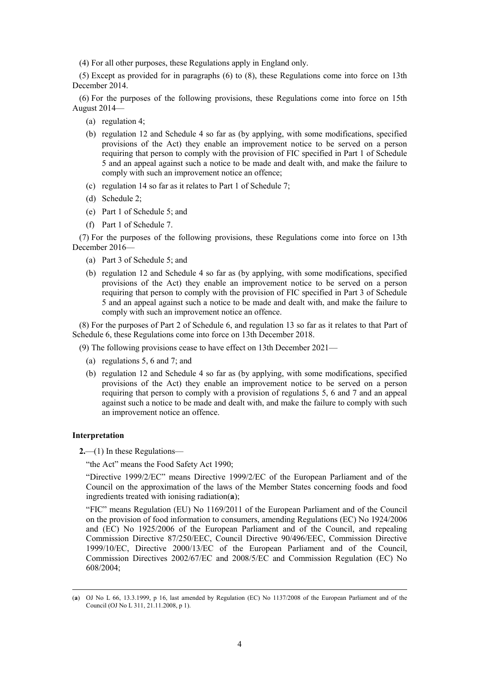(4) For all other purposes, these Regulations apply in England only.

(5) Except as provided for in paragraphs (6) to (8), these Regulations come into force on 13th December 2014.

(6) For the purposes of the following provisions, these Regulations come into force on 15th August 2014—

- (a) regulation 4;
- (b) regulation 12 and Schedule 4 so far as (by applying, with some modifications, specified provisions of the Act) they enable an improvement notice to be served on a person requiring that person to comply with the provision of FIC specified in Part 1 of Schedule 5 and an appeal against such a notice to be made and dealt with, and make the failure to comply with such an improvement notice an offence;
- (c) regulation 14 so far as it relates to Part 1 of Schedule 7;
- (d) Schedule 2;
- (e) Part 1 of Schedule 5; and
- (f) Part 1 of Schedule 7.

(7) For the purposes of the following provisions, these Regulations come into force on 13th December 2016—

- (a) Part 3 of Schedule 5; and
- (b) regulation 12 and Schedule 4 so far as (by applying, with some modifications, specified provisions of the Act) they enable an improvement notice to be served on a person requiring that person to comply with the provision of FIC specified in Part 3 of Schedule 5 and an appeal against such a notice to be made and dealt with, and make the failure to comply with such an improvement notice an offence.

(8) For the purposes of Part 2 of Schedule 6, and regulation 13 so far as it relates to that Part of Schedule 6, these Regulations come into force on 13th December 2018.

(9) The following provisions cease to have effect on 13th December 2021—

- (a) regulations 5, 6 and 7; and
- (b) regulation 12 and Schedule 4 so far as (by applying, with some modifications, specified provisions of the Act) they enable an improvement notice to be served on a person requiring that person to comply with a provision of regulations 5, 6 and 7 and an appeal against such a notice to be made and dealt with, and make the failure to comply with such an improvement notice an offence.

### **Interpretation**

**2.**—(1) In these Regulations—

"the Act" means the Food Safety Act 1990;

"Directive 1999/2/EC" means Directive 1999/2/EC of the European Parliament and of the Council on the approximation of the laws of the Member States concerning foods and food ingredients treated with ionising radiation(**a**);

"FIC" means Regulation (EU) No 1169/2011 of the European Parliament and of the Council on the provision of food information to consumers, amending Regulations (EC) No 1924/2006 and (EC) No 1925/2006 of the European Parliament and of the Council, and repealing Commission Directive 87/250/EEC, Council Directive 90/496/EEC, Commission Directive 1999/10/EC, Directive 2000/13/EC of the European Parliament and of the Council, Commission Directives 2002/67/EC and 2008/5/EC and Commission Regulation (EC) No 608/2004;

 <sup>(</sup>**a**) OJ No L 66, 13.3.1999, p 16, last amended by Regulation (EC) No 1137/2008 of the European Parliament and of the Council (OJ No L 311, 21.11.2008, p 1).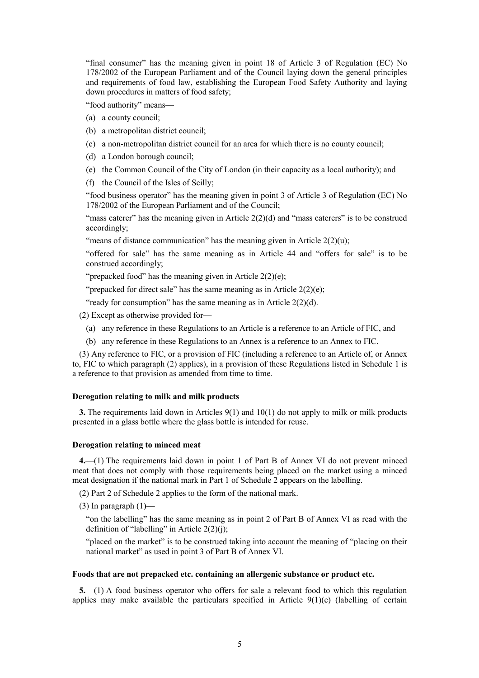"final consumer" has the meaning given in point 18 of Article 3 of Regulation (EC) No 178/2002 of the European Parliament and of the Council laying down the general principles and requirements of food law, establishing the European Food Safety Authority and laying down procedures in matters of food safety;

"food authority" means—

- (a) a county council;
- (b) a metropolitan district council;
- (c) a non-metropolitan district council for an area for which there is no county council;
- (d) a London borough council;
- (e) the Common Council of the City of London (in their capacity as a local authority); and
- (f) the Council of the Isles of Scilly;

"food business operator" has the meaning given in point 3 of Article 3 of Regulation (EC) No 178/2002 of the European Parliament and of the Council;

"mass caterer" has the meaning given in Article  $2(2)(d)$  and "mass caterers" is to be construed accordingly;

"means of distance communication" has the meaning given in Article  $2(2)(u)$ ;

"offered for sale" has the same meaning as in Article 44 and "offers for sale" is to be construed accordingly;

"prepacked food" has the meaning given in Article  $2(2)(e)$ ;

"prepacked for direct sale" has the same meaning as in Article  $2(2)(e)$ ;

"ready for consumption" has the same meaning as in Article  $2(2)(d)$ .

(2) Except as otherwise provided for—

- (a) any reference in these Regulations to an Article is a reference to an Article of FIC, and
- (b) any reference in these Regulations to an Annex is a reference to an Annex to FIC.

(3) Any reference to FIC, or a provision of FIC (including a reference to an Article of, or Annex to, FIC to which paragraph (2) applies), in a provision of these Regulations listed in Schedule 1 is a reference to that provision as amended from time to time.

### **Derogation relating to milk and milk products**

**3.** The requirements laid down in Articles 9(1) and 10(1) do not apply to milk or milk products presented in a glass bottle where the glass bottle is intended for reuse.

### **Derogation relating to minced meat**

**4.**—(1) The requirements laid down in point 1 of Part B of Annex VI do not prevent minced meat that does not comply with those requirements being placed on the market using a minced meat designation if the national mark in Part 1 of Schedule 2 appears on the labelling.

(2) Part 2 of Schedule 2 applies to the form of the national mark.

(3) In paragraph  $(1)$ —

"on the labelling" has the same meaning as in point 2 of Part B of Annex VI as read with the definition of "labelling" in Article 2(2)(j);

"placed on the market" is to be construed taking into account the meaning of "placing on their national market" as used in point 3 of Part B of Annex VI.

### **Foods that are not prepacked etc. containing an allergenic substance or product etc.**

**5.**—(1) A food business operator who offers for sale a relevant food to which this regulation applies may make available the particulars specified in Article 9(1)(c) (labelling of certain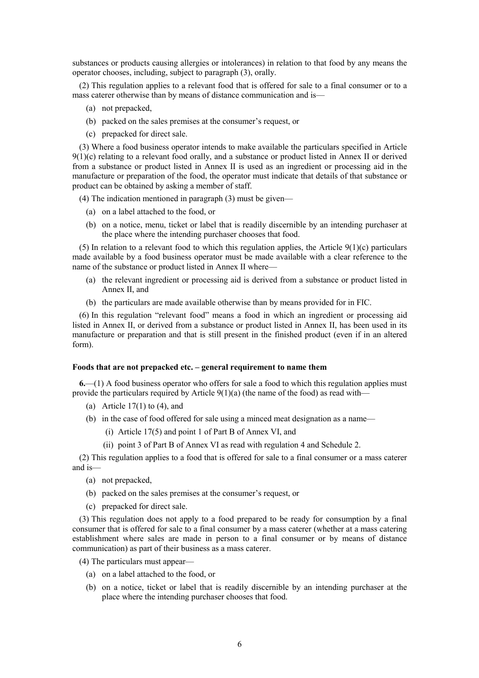substances or products causing allergies or intolerances) in relation to that food by any means the operator chooses, including, subject to paragraph (3), orally.

(2) This regulation applies to a relevant food that is offered for sale to a final consumer or to a mass caterer otherwise than by means of distance communication and is—

- (a) not prepacked,
- (b) packed on the sales premises at the consumer's request, or
- (c) prepacked for direct sale.

(3) Where a food business operator intends to make available the particulars specified in Article  $9(1)(c)$  relating to a relevant food orally, and a substance or product listed in Annex II or derived from a substance or product listed in Annex II is used as an ingredient or processing aid in the manufacture or preparation of the food, the operator must indicate that details of that substance or product can be obtained by asking a member of staff.

(4) The indication mentioned in paragraph (3) must be given—

- (a) on a label attached to the food, or
- (b) on a notice, menu, ticket or label that is readily discernible by an intending purchaser at the place where the intending purchaser chooses that food.

(5) In relation to a relevant food to which this regulation applies, the Article 9(1)(c) particulars made available by a food business operator must be made available with a clear reference to the name of the substance or product listed in Annex II where—

- (a) the relevant ingredient or processing aid is derived from a substance or product listed in Annex II, and
- (b) the particulars are made available otherwise than by means provided for in FIC.

(6) In this regulation "relevant food" means a food in which an ingredient or processing aid listed in Annex II, or derived from a substance or product listed in Annex II, has been used in its manufacture or preparation and that is still present in the finished product (even if in an altered form).

### **Foods that are not prepacked etc. – general requirement to name them**

**6.**—(1) A food business operator who offers for sale a food to which this regulation applies must provide the particulars required by Article  $9(1)(a)$  (the name of the food) as read with—

- (a) Article  $17(1)$  to (4), and
- (b) in the case of food offered for sale using a minced meat designation as a name—
	- (i) Article 17(5) and point 1 of Part B of Annex VI, and
	- (ii) point 3 of Part B of Annex VI as read with regulation 4 and Schedule 2.

(2) This regulation applies to a food that is offered for sale to a final consumer or a mass caterer and is—

- (a) not prepacked,
- (b) packed on the sales premises at the consumer's request, or
- (c) prepacked for direct sale.

(3) This regulation does not apply to a food prepared to be ready for consumption by a final consumer that is offered for sale to a final consumer by a mass caterer (whether at a mass catering establishment where sales are made in person to a final consumer or by means of distance communication) as part of their business as a mass caterer.

- (4) The particulars must appear—
	- (a) on a label attached to the food, or
	- (b) on a notice, ticket or label that is readily discernible by an intending purchaser at the place where the intending purchaser chooses that food.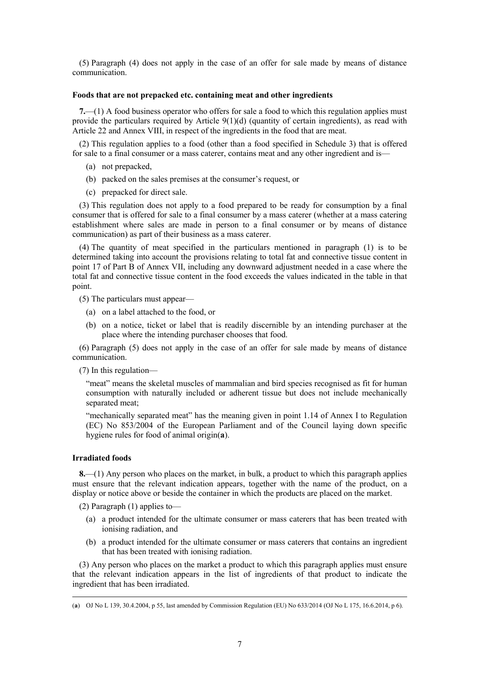(5) Paragraph (4) does not apply in the case of an offer for sale made by means of distance communication.

### **Foods that are not prepacked etc. containing meat and other ingredients**

**7.**—(1) A food business operator who offers for sale a food to which this regulation applies must provide the particulars required by Article  $9(1)(d)$  (quantity of certain ingredients), as read with Article 22 and Annex VIII, in respect of the ingredients in the food that are meat.

(2) This regulation applies to a food (other than a food specified in Schedule 3) that is offered for sale to a final consumer or a mass caterer, contains meat and any other ingredient and is—

- (a) not prepacked,
- (b) packed on the sales premises at the consumer's request, or
- (c) prepacked for direct sale.

(3) This regulation does not apply to a food prepared to be ready for consumption by a final consumer that is offered for sale to a final consumer by a mass caterer (whether at a mass catering establishment where sales are made in person to a final consumer or by means of distance communication) as part of their business as a mass caterer.

(4) The quantity of meat specified in the particulars mentioned in paragraph (1) is to be determined taking into account the provisions relating to total fat and connective tissue content in point 17 of Part B of Annex VII, including any downward adjustment needed in a case where the total fat and connective tissue content in the food exceeds the values indicated in the table in that point.

(5) The particulars must appear—

- (a) on a label attached to the food, or
- (b) on a notice, ticket or label that is readily discernible by an intending purchaser at the place where the intending purchaser chooses that food.

(6) Paragraph (5) does not apply in the case of an offer for sale made by means of distance communication.

(7) In this regulation—

"meat" means the skeletal muscles of mammalian and bird species recognised as fit for human consumption with naturally included or adherent tissue but does not include mechanically separated meat;

"mechanically separated meat" has the meaning given in point 1.14 of Annex I to Regulation (EC) No 853/2004 of the European Parliament and of the Council laying down specific hygiene rules for food of animal origin(**a**).

### **Irradiated foods**

**8.**—(1) Any person who places on the market, in bulk, a product to which this paragraph applies must ensure that the relevant indication appears, together with the name of the product, on a display or notice above or beside the container in which the products are placed on the market.

(2) Paragraph (1) applies to—

- (a) a product intended for the ultimate consumer or mass caterers that has been treated with ionising radiation, and
- (b) a product intended for the ultimate consumer or mass caterers that contains an ingredient that has been treated with ionising radiation.

(3) Any person who places on the market a product to which this paragraph applies must ensure that the relevant indication appears in the list of ingredients of that product to indicate the ingredient that has been irradiated.

 <sup>(</sup>**a**) OJ No L 139, 30.4.2004, p 55, last amended by Commission Regulation (EU) No 633/2014 (OJ No L 175, 16.6.2014, p 6).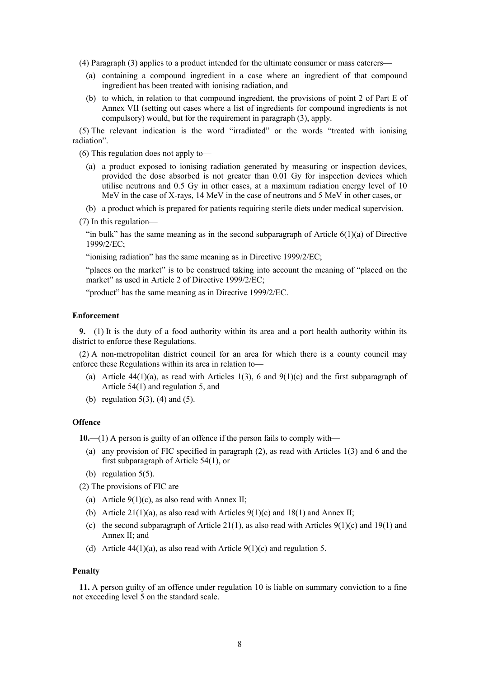(4) Paragraph (3) applies to a product intended for the ultimate consumer or mass caterers—

- (a) containing a compound ingredient in a case where an ingredient of that compound ingredient has been treated with ionising radiation, and
- (b) to which, in relation to that compound ingredient, the provisions of point 2 of Part E of Annex VII (setting out cases where a list of ingredients for compound ingredients is not compulsory) would, but for the requirement in paragraph (3), apply.

(5) The relevant indication is the word "irradiated" or the words "treated with ionising radiation".

(6) This regulation does not apply to—

- (a) a product exposed to ionising radiation generated by measuring or inspection devices, provided the dose absorbed is not greater than 0.01 Gy for inspection devices which utilise neutrons and 0.5 Gy in other cases, at a maximum radiation energy level of 10 MeV in the case of X-rays, 14 MeV in the case of neutrons and 5 MeV in other cases, or
- (b) a product which is prepared for patients requiring sterile diets under medical supervision.
- (7) In this regulation—

"in bulk" has the same meaning as in the second subparagraph of Article  $6(1)(a)$  of Directive 1999/2/EC;

"ionising radiation" has the same meaning as in Directive 1999/2/EC;

"places on the market" is to be construed taking into account the meaning of "placed on the market" as used in Article 2 of Directive 1999/2/EC;

"product" has the same meaning as in Directive 1999/2/EC.

### **Enforcement**

**9.**—(1) It is the duty of a food authority within its area and a port health authority within its district to enforce these Regulations.

(2) A non-metropolitan district council for an area for which there is a county council may enforce these Regulations within its area in relation to—

- (a) Article  $44(1)(a)$ , as read with Articles 1(3), 6 and  $9(1)(c)$  and the first subparagraph of Article 54(1) and regulation 5, and
- (b) regulation  $5(3)$ ,  $(4)$  and  $(5)$ .

### **Offence**

**10.**—(1) A person is guilty of an offence if the person fails to comply with—

- (a) any provision of FIC specified in paragraph (2), as read with Articles 1(3) and 6 and the first subparagraph of Article 54(1), or
- (b) regulation 5(5).

(2) The provisions of FIC are—

- (a) Article  $9(1)(c)$ , as also read with Annex II;
- (b) Article 21(1)(a), as also read with Articles 9(1)(c) and 18(1) and Annex II;
- (c) the second subparagraph of Article 21(1), as also read with Articles 9(1)(c) and 19(1) and Annex  $II$ ; and
- (d) Article 44(1)(a), as also read with Article  $9(1)(c)$  and regulation 5.

### **Penalty**

**11.** A person guilty of an offence under regulation 10 is liable on summary conviction to a fine not exceeding level 5 on the standard scale.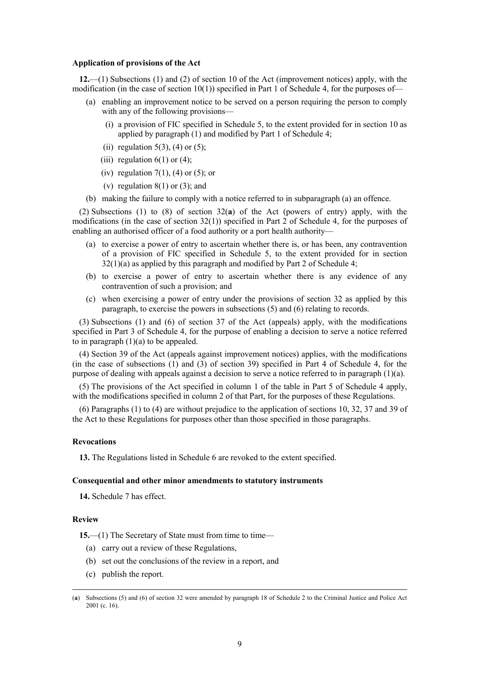### **Application of provisions of the Act**

**12.**—(1) Subsections (1) and (2) of section 10 of the Act (improvement notices) apply, with the modification (in the case of section 10(1)) specified in Part 1 of Schedule 4, for the purposes of-

- (a) enabling an improvement notice to be served on a person requiring the person to comply with any of the following provisions—
	- (i) a provision of FIC specified in Schedule 5, to the extent provided for in section 10 as applied by paragraph (1) and modified by Part 1 of Schedule 4;
	- (ii) regulation  $5(3)$ ,  $(4)$  or  $(5)$ ;
	- (iii) regulation  $6(1)$  or  $(4)$ ;
	- (iv) regulation  $7(1)$ , (4) or (5); or
	- (v) regulation  $8(1)$  or  $(3)$ ; and
- (b) making the failure to comply with a notice referred to in subparagraph (a) an offence.

(2) Subsections (1) to (8) of section 32(**a**) of the Act (powers of entry) apply, with the modifications (in the case of section 32(1)) specified in Part 2 of Schedule 4, for the purposes of enabling an authorised officer of a food authority or a port health authority—

- (a) to exercise a power of entry to ascertain whether there is, or has been, any contravention of a provision of FIC specified in Schedule 5, to the extent provided for in section  $32(1)(a)$  as applied by this paragraph and modified by Part 2 of Schedule 4;
- (b) to exercise a power of entry to ascertain whether there is any evidence of any contravention of such a provision; and
- (c) when exercising a power of entry under the provisions of section 32 as applied by this paragraph, to exercise the powers in subsections (5) and (6) relating to records.

(3) Subsections (1) and (6) of section 37 of the Act (appeals) apply, with the modifications specified in Part 3 of Schedule 4, for the purpose of enabling a decision to serve a notice referred to in paragraph  $(1)(a)$  to be appealed.

(4) Section 39 of the Act (appeals against improvement notices) applies, with the modifications (in the case of subsections (1) and (3) of section 39) specified in Part 4 of Schedule 4, for the purpose of dealing with appeals against a decision to serve a notice referred to in paragraph (1)(a).

(5) The provisions of the Act specified in column 1 of the table in Part 5 of Schedule 4 apply, with the modifications specified in column 2 of that Part, for the purposes of these Regulations.

(6) Paragraphs (1) to (4) are without prejudice to the application of sections 10, 32, 37 and 39 of the Act to these Regulations for purposes other than those specified in those paragraphs.

### **Revocations**

**13.** The Regulations listed in Schedule 6 are revoked to the extent specified.

### **Consequential and other minor amendments to statutory instruments**

**14.** Schedule 7 has effect.

### **Review**

**15.—(1)** The Secretary of State must from time to time—

- (a) carry out a review of these Regulations,
- (b) set out the conclusions of the review in a report, and
- (c) publish the report.

 <sup>(</sup>**a**) Subsections (5) and (6) of section 32 were amended by paragraph 18 of Schedule 2 to the Criminal Justice and Police Act 2001 (c. 16).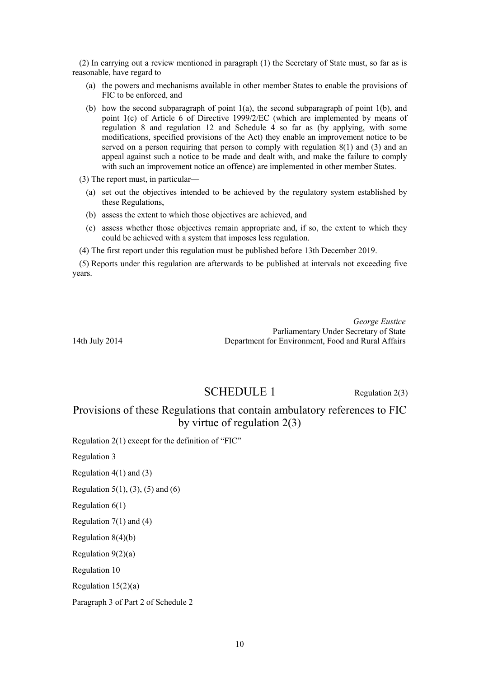(2) In carrying out a review mentioned in paragraph (1) the Secretary of State must, so far as is reasonable, have regard to—

- (a) the powers and mechanisms available in other member States to enable the provisions of FIC to be enforced, and
- (b) how the second subparagraph of point  $1(a)$ , the second subparagraph of point  $1(b)$ , and point 1(c) of Article 6 of Directive 1999/2/EC (which are implemented by means of regulation 8 and regulation 12 and Schedule 4 so far as (by applying, with some modifications, specified provisions of the Act) they enable an improvement notice to be served on a person requiring that person to comply with regulation 8(1) and (3) and an appeal against such a notice to be made and dealt with, and make the failure to comply with such an improvement notice an offence) are implemented in other member States.

(3) The report must, in particular—

- (a) set out the objectives intended to be achieved by the regulatory system established by these Regulations,
- (b) assess the extent to which those objectives are achieved, and
- (c) assess whether those objectives remain appropriate and, if so, the extent to which they could be achieved with a system that imposes less regulation.
- (4) The first report under this regulation must be published before 13th December 2019.

(5) Reports under this regulation are afterwards to be published at intervals not exceeding five years.

*George Eustice* Parliamentary Under Secretary of State 14th July 2014 Department for Environment, Food and Rural Affairs

# SCHEDULE 1 Regulation 2(3)

# Provisions of these Regulations that contain ambulatory references to FIC by virtue of regulation 2(3)

Regulation 2(1) except for the definition of "FIC"

Regulation 3

Regulation 4(1) and (3)

Regulation 5(1), (3), (5) and (6)

Regulation 6(1)

Regulation  $7(1)$  and  $(4)$ 

Regulation 8(4)(b)

Regulation 9(2)(a)

Regulation 10

Regulation 15(2)(a)

Paragraph 3 of Part 2 of Schedule 2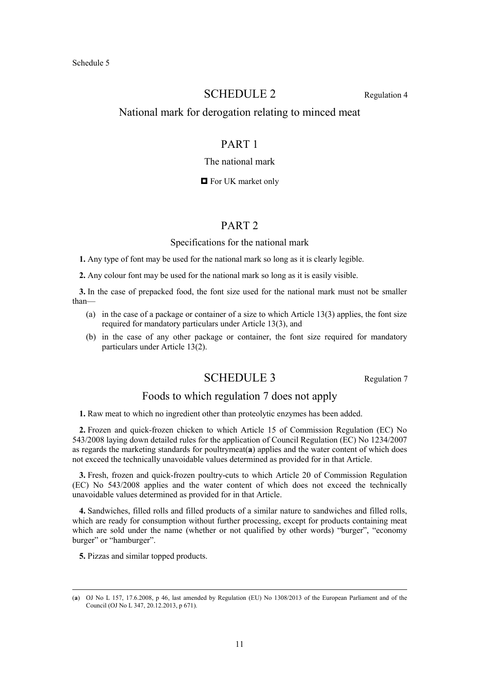# SCHEDULE 2 Regulation 4

# National mark for derogation relating to minced meat

# PART 1

### The national mark

### **D** For UK market only

### PART 2

### Specifications for the national mark

**1.** Any type of font may be used for the national mark so long as it is clearly legible.

**2.** Any colour font may be used for the national mark so long as it is easily visible.

**3.** In the case of prepacked food, the font size used for the national mark must not be smaller than—

- (a) in the case of a package or container of a size to which Article 13(3) applies, the font size required for mandatory particulars under Article 13(3), and
- (b) in the case of any other package or container, the font size required for mandatory particulars under Article 13(2).

# SCHEDULE 3 Regulation 7

# Foods to which regulation 7 does not apply

**1.** Raw meat to which no ingredient other than proteolytic enzymes has been added.

**2.** Frozen and quick-frozen chicken to which Article 15 of Commission Regulation (EC) No 543/2008 laying down detailed rules for the application of Council Regulation (EC) No 1234/2007 as regards the marketing standards for poultrymeat(**a**) applies and the water content of which does not exceed the technically unavoidable values determined as provided for in that Article.

**3.** Fresh, frozen and quick-frozen poultry-cuts to which Article 20 of Commission Regulation (EC) No 543/2008 applies and the water content of which does not exceed the technically unavoidable values determined as provided for in that Article.

**4.** Sandwiches, filled rolls and filled products of a similar nature to sandwiches and filled rolls, which are ready for consumption without further processing, except for products containing meat which are sold under the name (whether or not qualified by other words) "burger", "economy burger" or "hamburger".

**5.** Pizzas and similar topped products.

 <sup>(</sup>**a**) OJ No L 157, 17.6.2008, p 46, last amended by Regulation (EU) No 1308/2013 of the European Parliament and of the Council (OJ No L 347, 20.12.2013, p 671).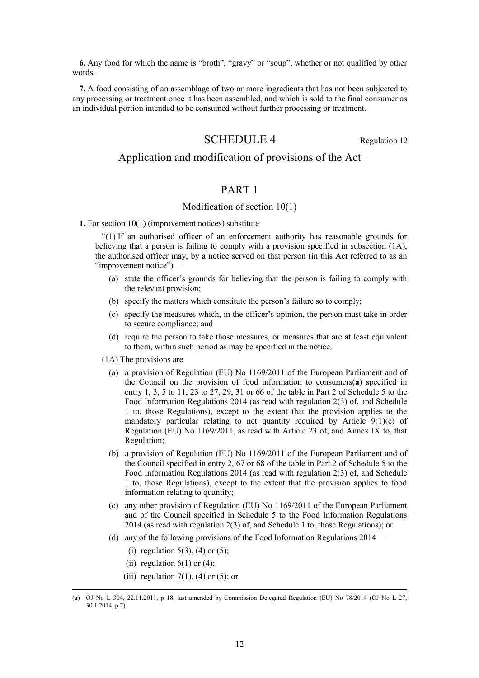**6.** Any food for which the name is "broth", "gravy" or "soup", whether or not qualified by other words.

**7.** A food consisting of an assemblage of two or more ingredients that has not been subjected to any processing or treatment once it has been assembled, and which is sold to the final consumer as an individual portion intended to be consumed without further processing or treatment.

# SCHEDULE 4 Regulation 12

# Application and modification of provisions of the Act

# PART 1

### Modification of section 10(1)

**1.** For section 10(1) (improvement notices) substitute—

"(1) If an authorised officer of an enforcement authority has reasonable grounds for believing that a person is failing to comply with a provision specified in subsection (1A), the authorised officer may, by a notice served on that person (in this Act referred to as an "improvement notice")—

- (a) state the officer's grounds for believing that the person is failing to comply with the relevant provision;
- (b) specify the matters which constitute the person's failure so to comply;
- (c) specify the measures which, in the officer's opinion, the person must take in order to secure compliance; and
- (d) require the person to take those measures, or measures that are at least equivalent to them, within such period as may be specified in the notice.
- (1A) The provisions are—
	- (a) a provision of Regulation (EU) No 1169/2011 of the European Parliament and of the Council on the provision of food information to consumers(**a**) specified in entry 1, 3, 5 to 11, 23 to 27, 29, 31 or 66 of the table in Part 2 of Schedule 5 to the Food Information Regulations 2014 (as read with regulation 2(3) of, and Schedule 1 to, those Regulations), except to the extent that the provision applies to the mandatory particular relating to net quantity required by Article 9(1)(e) of Regulation (EU) No 1169/2011, as read with Article 23 of, and Annex IX to, that Regulation;
	- (b) a provision of Regulation (EU) No 1169/2011 of the European Parliament and of the Council specified in entry 2, 67 or 68 of the table in Part 2 of Schedule 5 to the Food Information Regulations 2014 (as read with regulation 2(3) of, and Schedule 1 to, those Regulations), except to the extent that the provision applies to food information relating to quantity;
	- (c) any other provision of Regulation (EU) No 1169/2011 of the European Parliament and of the Council specified in Schedule 5 to the Food Information Regulations 2014 (as read with regulation 2(3) of, and Schedule 1 to, those Regulations); or
- (d) any of the following provisions of the Food Information Regulations 2014—
	- (i) regulation  $5(3)$ ,  $(4)$  or  $(5)$ ;
	- (ii) regulation  $6(1)$  or  $(4)$ ;
	- (iii) regulation 7(1), (4) or (5); or

 <sup>(</sup>**a**) OJ No L 304, 22.11.2011, p 18, last amended by Commission Delegated Regulation (EU) No 78/2014 (OJ No L 27, 30.1.2014, p 7).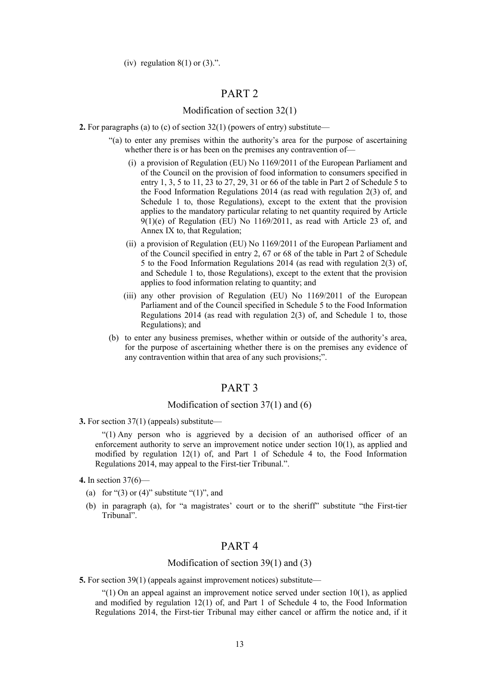(iv) regulation  $8(1)$  or  $(3)$ .".

# PART 2

## Modification of section 32(1)

- **2.** For paragraphs (a) to (c) of section 32(1) (powers of entry) substitute—
	- "(a) to enter any premises within the authority's area for the purpose of ascertaining whether there is or has been on the premises any contravention of-
		- (i) a provision of Regulation (EU) No 1169/2011 of the European Parliament and of the Council on the provision of food information to consumers specified in entry 1, 3, 5 to 11, 23 to 27, 29, 31 or 66 of the table in Part 2 of Schedule 5 to the Food Information Regulations 2014 (as read with regulation 2(3) of, and Schedule 1 to, those Regulations), except to the extent that the provision applies to the mandatory particular relating to net quantity required by Article  $9(1)(e)$  of Regulation (EU) No 1169/2011, as read with Article 23 of, and Annex IX to, that Regulation;
		- (ii) a provision of Regulation (EU) No 1169/2011 of the European Parliament and of the Council specified in entry 2, 67 or 68 of the table in Part 2 of Schedule 5 to the Food Information Regulations 2014 (as read with regulation 2(3) of, and Schedule 1 to, those Regulations), except to the extent that the provision applies to food information relating to quantity; and
		- (iii) any other provision of Regulation (EU) No 1169/2011 of the European Parliament and of the Council specified in Schedule 5 to the Food Information Regulations 2014 (as read with regulation  $2(3)$  of, and Schedule 1 to, those Regulations); and
	- (b) to enter any business premises, whether within or outside of the authority's area, for the purpose of ascertaining whether there is on the premises any evidence of any contravention within that area of any such provisions;".

# PART 3

### Modification of section 37(1) and (6)

**3.** For section 37(1) (appeals) substitute—

"(1) Any person who is aggrieved by a decision of an authorised officer of an enforcement authority to serve an improvement notice under section 10(1), as applied and modified by regulation  $12(1)$  of, and Part 1 of Schedule 4 to, the Food Information Regulations 2014, may appeal to the First-tier Tribunal.".

- **4.** In section 37(6)—
	- (a) for " $(3)$  or  $(4)$ " substitute " $(1)$ ", and
	- (b) in paragraph (a), for "a magistrates' court or to the sheriff" substitute "the First-tier Tribunal".

# PART 4

### Modification of section 39(1) and (3)

**5.** For section 39(1) (appeals against improvement notices) substitute—

" $(1)$  On an appeal against an improvement notice served under section 10(1), as applied and modified by regulation 12(1) of, and Part 1 of Schedule 4 to, the Food Information Regulations 2014, the First-tier Tribunal may either cancel or affirm the notice and, if it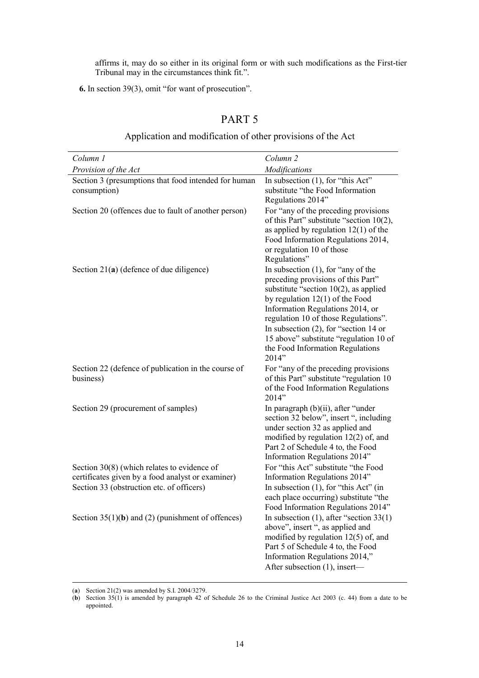affirms it, may do so either in its original form or with such modifications as the First-tier Tribunal may in the circumstances think fit.".

**6.** In section 39(3), omit "for want of prosecution".

#### *Column 1 Provision of the Act Column 2 Modifications*  Section 3 (presumptions that food intended for human consumption) In subsection (1), for "this Act" substitute "the Food Information Regulations 2014" Section 20 (offences due to fault of another person) For "any of the preceding provisions of this Part" substitute "section 10(2), as applied by regulation 12(1) of the Food Information Regulations 2014, or regulation 10 of those Regulations" Section 21(a) (defence of due diligence) In subsection (1), for "any of the preceding provisions of this Part" substitute "section 10(2), as applied by regulation 12(1) of the Food Information Regulations 2014, or regulation 10 of those Regulations". In subsection (2), for "section 14 or 15 above" substitute "regulation 10 of the Food Information Regulations 2014" Section 22 (defence of publication in the course of business) For "any of the preceding provisions of this Part" substitute "regulation 10 of the Food Information Regulations 2014" Section 29 (procurement of samples) In paragraph (b)(ii), after "under section 32 below", insert ", including under section 32 as applied and modified by regulation 12(2) of, and Part 2 of Schedule 4 to, the Food Information Regulations 2014" Section 30(8) (which relates to evidence of certificates given by a food analyst or examiner) For "this Act" substitute "the Food Information Regulations 2014" Section 33 (obstruction etc. of officers) In subsection (1), for "this Act" (in each place occurring) substitute "the Food Information Regulations 2014" Section 35(1)(**b**) and (2) (punishment of offences) In subsection (1), after "section 33(1) above", insert ", as applied and modified by regulation 12(5) of, and Part 5 of Schedule 4 to, the Food Information Regulations 2014," After subsection (1), insert—

# PART 5

### Application and modification of other provisions of the Act

(**a**) Section 21(2) was amended by S.I. 2004/3279.

<sup>(</sup>**b**) Section 35(1) is amended by paragraph 42 of Schedule 26 to the Criminal Justice Act 2003 (c. 44) from a date to be appointed.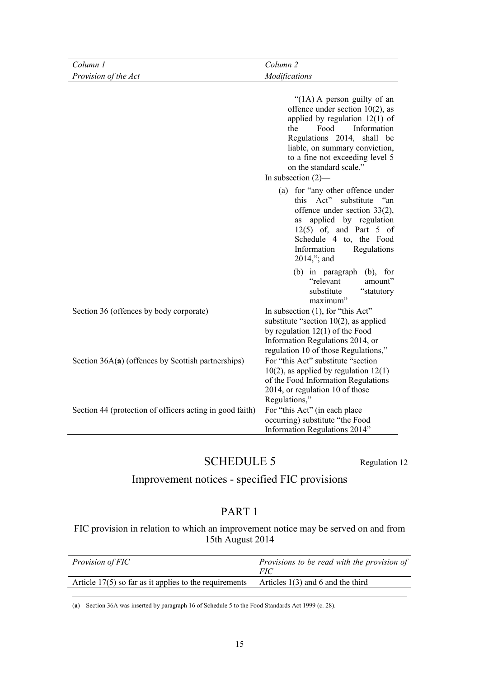| Column 1                                                 | Column <sub>2</sub>                                                                                                                                                                                                                                                                                                                                                                                                                                                                                                                      |
|----------------------------------------------------------|------------------------------------------------------------------------------------------------------------------------------------------------------------------------------------------------------------------------------------------------------------------------------------------------------------------------------------------------------------------------------------------------------------------------------------------------------------------------------------------------------------------------------------------|
| Provision of the Act                                     | Modifications                                                                                                                                                                                                                                                                                                                                                                                                                                                                                                                            |
|                                                          | " $(1A)$ A person guilty of an<br>offence under section $10(2)$ , as<br>applied by regulation $12(1)$ of<br>Food<br>the<br>Information<br>Regulations 2014, shall be<br>liable, on summary conviction,<br>to a fine not exceeding level 5<br>on the standard scale."<br>In subsection $(2)$ —<br>(a) for "any other offence under<br>this Act"<br>substitute<br>an "<br>offence under section 33(2),<br>applied by regulation<br>as<br>$12(5)$ of, and Part 5 of<br>Schedule 4 to, the Food<br>Regulations<br>Information<br>2014,"; and |
|                                                          | (b) in paragraph (b), for<br>"relevant<br>amount"<br>substitute<br>"statutory<br>maximum"                                                                                                                                                                                                                                                                                                                                                                                                                                                |
| Section 36 (offences by body corporate)                  | In subsection (1), for "this Act"<br>substitute "section $10(2)$ , as applied<br>by regulation $12(1)$ of the Food<br>Information Regulations 2014, or<br>regulation 10 of those Regulations,"                                                                                                                                                                                                                                                                                                                                           |
| Section $36A(a)$ (offences by Scottish partnerships)     | For "this Act" substitute "section<br>$10(2)$ , as applied by regulation $12(1)$<br>of the Food Information Regulations<br>2014, or regulation 10 of those<br>Regulations,"                                                                                                                                                                                                                                                                                                                                                              |
| Section 44 (protection of officers acting in good faith) | For "this Act" (in each place<br>occurring) substitute "the Food<br>Information Regulations 2014"                                                                                                                                                                                                                                                                                                                                                                                                                                        |

# SCHEDULE 5 Regulation 12

# Improvement notices - specified FIC provisions

# PART 1

FIC provision in relation to which an improvement notice may be served on and from 15th August 2014

| <i>Provision of FIC</i>                                  | Provisions to be read with the provision of<br><i>FIC</i> |
|----------------------------------------------------------|-----------------------------------------------------------|
| Article $17(5)$ so far as it applies to the requirements | Articles $1(3)$ and 6 and the third                       |

(**a**) Section 36A was inserted by paragraph 16 of Schedule 5 to the Food Standards Act 1999 (c. 28).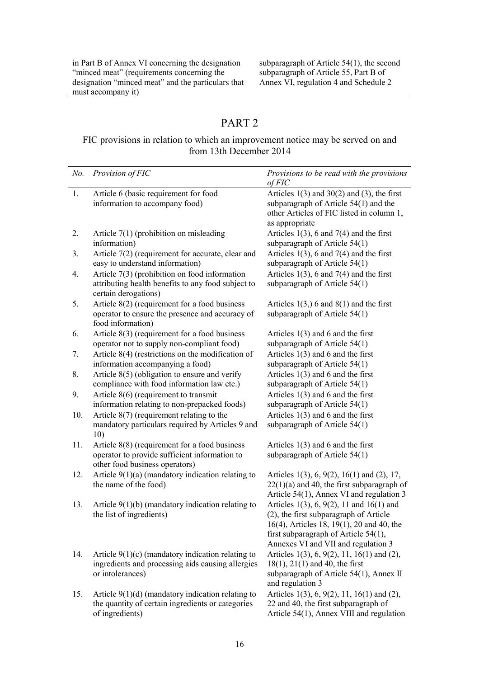in Part B of Annex VI concerning the designation "minced meat" (requirements concerning the designation "minced meat" and the particulars that must accompany it)

subparagraph of Article 54(1), the second subparagraph of Article 55, Part B of Annex VI, regulation 4 and Schedule 2

# PART 2

# FIC provisions in relation to which an improvement notice may be served on and from 13th December 2014

| $No$ . | Provision of FIC                                                                                                                   | Provisions to be read with the provisions<br>of FIC                                                                                                                                                            |
|--------|------------------------------------------------------------------------------------------------------------------------------------|----------------------------------------------------------------------------------------------------------------------------------------------------------------------------------------------------------------|
| 1.     | Article 6 (basic requirement for food<br>information to accompany food)                                                            | Articles $1(3)$ and $30(2)$ and $(3)$ , the first<br>subparagraph of Article $54(1)$ and the<br>other Articles of FIC listed in column 1,<br>as appropriate                                                    |
| 2.     | Article $7(1)$ (prohibition on misleading<br>information)                                                                          | Articles $1(3)$ , 6 and 7(4) and the first<br>subparagraph of Article $54(1)$                                                                                                                                  |
| 3.     | Article 7(2) (requirement for accurate, clear and<br>easy to understand information)                                               | Articles $1(3)$ , 6 and 7(4) and the first<br>subparagraph of Article 54(1)                                                                                                                                    |
| 4.     | Article $7(3)$ (prohibition on food information<br>attributing health benefits to any food subject to<br>certain derogations)      | Articles $1(3)$ , 6 and 7(4) and the first<br>subparagraph of Article $54(1)$                                                                                                                                  |
| 5.     | Article $8(2)$ (requirement for a food business<br>operator to ensure the presence and accuracy of<br>food information)            | Articles $1(3)$ , 6 and $8(1)$ and the first<br>subparagraph of Article 54(1)                                                                                                                                  |
| 6.     | Article $8(3)$ (requirement for a food business<br>operator not to supply non-compliant food)                                      | Articles $1(3)$ and 6 and the first<br>subparagraph of Article 54(1)                                                                                                                                           |
| 7.     | Article $8(4)$ (restrictions on the modification of<br>information accompanying a food)                                            | Articles $1(3)$ and 6 and the first<br>subparagraph of Article 54(1)                                                                                                                                           |
| 8.     | Article $8(5)$ (obligation to ensure and verify<br>compliance with food information law etc.)                                      | Articles $1(3)$ and 6 and the first<br>subparagraph of Article 54(1)                                                                                                                                           |
| 9.     | Article $8(6)$ (requirement to transmit<br>information relating to non-prepacked foods)                                            | Articles $1(3)$ and 6 and the first<br>subparagraph of Article 54(1)                                                                                                                                           |
| 10.    | Article $8(7)$ (requirement relating to the<br>mandatory particulars required by Articles 9 and<br>10)                             | Articles $1(3)$ and 6 and the first<br>subparagraph of Article $54(1)$                                                                                                                                         |
| 11.    | Article $8(8)$ (requirement for a food business<br>operator to provide sufficient information to<br>other food business operators) | Articles $1(3)$ and 6 and the first<br>subparagraph of Article 54(1)                                                                                                                                           |
| 12.    | Article $9(1)(a)$ (mandatory indication relating to<br>the name of the food)                                                       | Articles 1(3), 6, 9(2), 16(1) and (2), 17,<br>$22(1)(a)$ and 40, the first subparagraph of<br>Article 54(1), Annex VI and regulation 3                                                                         |
| 13.    | Article $9(1)(b)$ (mandatory indication relating to<br>the list of ingredients)                                                    | Articles 1(3), 6, 9(2), 11 and 16(1) and<br>(2), the first subparagraph of Article<br>16(4), Articles 18, 19(1), 20 and 40, the<br>first subparagraph of Article 54(1),<br>Annexes VI and VII and regulation 3 |
| 14.    | Article $9(1)(c)$ (mandatory indication relating to<br>ingredients and processing aids causing allergies<br>or intolerances)       | Articles 1(3), 6, 9(2), 11, 16(1) and (2),<br>$18(1)$ , $21(1)$ and 40, the first<br>subparagraph of Article 54(1), Annex II<br>and regulation 3                                                               |
| 15.    | Article $9(1)(d)$ (mandatory indication relating to<br>the quantity of certain ingredients or categories<br>of ingredients)        | Articles 1(3), 6, 9(2), 11, 16(1) and (2),<br>22 and 40, the first subparagraph of<br>Article 54(1), Annex VIII and regulation                                                                                 |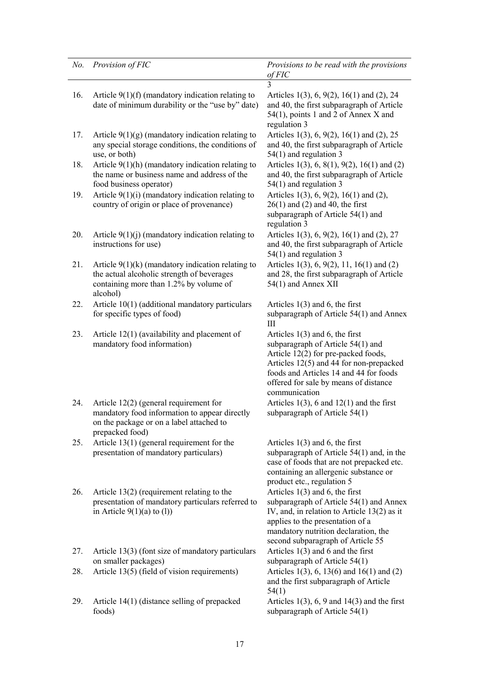| No. | Provision of FIC                                                                                                                                         | Provisions to be read with the provisions<br>$of$ $F$ $IC$                                                                                                                                                                                                  |
|-----|----------------------------------------------------------------------------------------------------------------------------------------------------------|-------------------------------------------------------------------------------------------------------------------------------------------------------------------------------------------------------------------------------------------------------------|
|     |                                                                                                                                                          |                                                                                                                                                                                                                                                             |
| 16. | Article $9(1)(f)$ (mandatory indication relating to<br>date of minimum durability or the "use by" date)                                                  | Articles 1(3), 6, 9(2), 16(1) and (2), 24<br>and 40, the first subparagraph of Article<br>54(1), points 1 and 2 of Annex X and                                                                                                                              |
|     |                                                                                                                                                          | regulation 3                                                                                                                                                                                                                                                |
| 17. | Article $9(1)(g)$ (mandatory indication relating to<br>any special storage conditions, the conditions of<br>use, or both)                                | Articles 1(3), 6, 9(2), 16(1) and (2), 25<br>and 40, the first subparagraph of Article<br>$54(1)$ and regulation 3                                                                                                                                          |
| 18. | Article $9(1)(h)$ (mandatory indication relating to<br>the name or business name and address of the<br>food business operator)                           | Articles 1(3), 6, 8(1), 9(2), 16(1) and (2)<br>and 40, the first subparagraph of Article<br>$54(1)$ and regulation 3                                                                                                                                        |
| 19. | Article $9(1)(i)$ (mandatory indication relating to<br>country of origin or place of provenance)                                                         | Articles 1(3), 6, 9(2), 16(1) and (2),<br>$26(1)$ and (2) and 40, the first<br>subparagraph of Article 54(1) and<br>regulation 3                                                                                                                            |
| 20. | Article $9(1)(j)$ (mandatory indication relating to<br>instructions for use)                                                                             | Articles 1(3), 6, 9(2), 16(1) and (2), 27<br>and 40, the first subparagraph of Article<br>$54(1)$ and regulation 3                                                                                                                                          |
| 21. | Article $9(1)(k)$ (mandatory indication relating to<br>the actual alcoholic strength of beverages<br>containing more than 1.2% by volume of<br>alcohol)  | Articles 1(3), 6, 9(2), 11, 16(1) and (2)<br>and 28, the first subparagraph of Article<br>54(1) and Annex XII                                                                                                                                               |
| 22. | Article 10(1) (additional mandatory particulars<br>for specific types of food)                                                                           | Articles $1(3)$ and 6, the first<br>subparagraph of Article 54(1) and Annex<br>Ш                                                                                                                                                                            |
| 23. | Article $12(1)$ (availability and placement of<br>mandatory food information)                                                                            | Articles $1(3)$ and 6, the first<br>subparagraph of Article 54(1) and<br>Article 12(2) for pre-packed foods,<br>Articles 12(5) and 44 for non-prepacked<br>foods and Articles 14 and 44 for foods<br>offered for sale by means of distance<br>communication |
| 24. | Article $12(2)$ (general requirement for<br>mandatory food information to appear directly<br>on the package or on a label attached to<br>prepacked food) | Articles $1(3)$ , 6 and $12(1)$ and the first<br>subparagraph of Article 54(1)                                                                                                                                                                              |
| 25. | Article $13(1)$ (general requirement for the<br>presentation of mandatory particulars)                                                                   | Articles $1(3)$ and 6, the first<br>subparagraph of Article $54(1)$ and, in the<br>case of foods that are not prepacked etc.<br>containing an allergenic substance or<br>product etc., regulation 5                                                         |
| 26. | Article $13(2)$ (requirement relating to the<br>presentation of mandatory particulars referred to<br>in Article $9(1)(a)$ to (1))                        | Articles $1(3)$ and 6, the first<br>subparagraph of Article 54(1) and Annex<br>IV, and, in relation to Article $13(2)$ as it<br>applies to the presentation of a<br>mandatory nutrition declaration, the<br>second subparagraph of Article 55               |
| 27. | Article 13(3) (font size of mandatory particulars<br>on smaller packages)                                                                                | Articles $1(3)$ and 6 and the first<br>subparagraph of Article $54(1)$                                                                                                                                                                                      |
| 28. | Article 13(5) (field of vision requirements)                                                                                                             | Articles 1(3), 6, 13(6) and 16(1) and (2)<br>and the first subparagraph of Article<br>54(1)                                                                                                                                                                 |
| 29. | Article 14(1) (distance selling of prepacked<br>foods)                                                                                                   | Articles $1(3)$ , 6, 9 and $14(3)$ and the first<br>subparagraph of Article 54(1)                                                                                                                                                                           |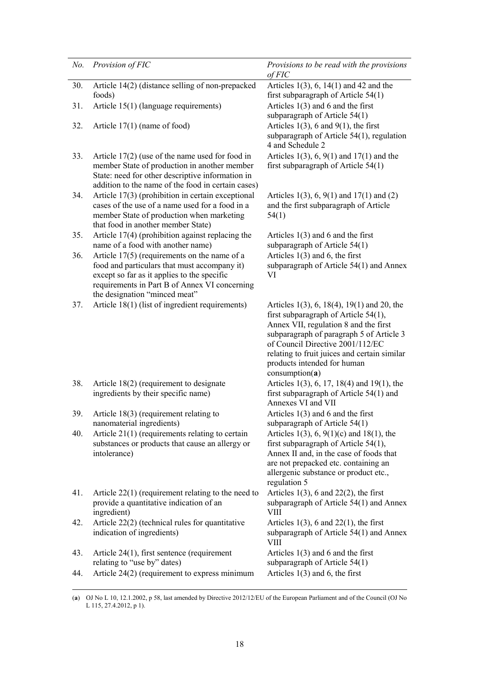| No. | Provision of FIC                                                                                                                                                                                                                | Provisions to be read with the provisions<br>of FIC                                                                                                                                                                                                                                                             |
|-----|---------------------------------------------------------------------------------------------------------------------------------------------------------------------------------------------------------------------------------|-----------------------------------------------------------------------------------------------------------------------------------------------------------------------------------------------------------------------------------------------------------------------------------------------------------------|
| 30. | Article 14(2) (distance selling of non-prepacked<br>foods)                                                                                                                                                                      | Articles $1(3)$ , 6, $14(1)$ and 42 and the<br>first subparagraph of Article 54(1)                                                                                                                                                                                                                              |
| 31. | Article 15(1) (language requirements)                                                                                                                                                                                           | Articles $1(3)$ and 6 and the first<br>subparagraph of Article $54(1)$                                                                                                                                                                                                                                          |
| 32. | Article $17(1)$ (name of food)                                                                                                                                                                                                  | Articles $1(3)$ , 6 and $9(1)$ , the first<br>subparagraph of Article 54(1), regulation<br>4 and Schedule 2                                                                                                                                                                                                     |
| 33. | Article $17(2)$ (use of the name used for food in<br>member State of production in another member<br>State: need for other descriptive information in<br>addition to the name of the food in certain cases)                     | Articles $1(3)$ , 6, $9(1)$ and $17(1)$ and the<br>first subparagraph of Article $54(1)$                                                                                                                                                                                                                        |
| 34. | Article 17(3) (prohibition in certain exceptional<br>cases of the use of a name used for a food in a<br>member State of production when marketing<br>that food in another member State)                                         | Articles 1(3), 6, 9(1) and 17(1) and (2)<br>and the first subparagraph of Article<br>54(1)                                                                                                                                                                                                                      |
| 35. | Article 17(4) (prohibition against replacing the<br>name of a food with another name)                                                                                                                                           | Articles $1(3)$ and 6 and the first<br>subparagraph of Article $54(1)$                                                                                                                                                                                                                                          |
| 36. | Article $17(5)$ (requirements on the name of a<br>food and particulars that must accompany it)<br>except so far as it applies to the specific<br>requirements in Part B of Annex VI concerning<br>the designation "minced meat" | Articles $1(3)$ and 6, the first<br>subparagraph of Article 54(1) and Annex<br>VI                                                                                                                                                                                                                               |
| 37. | Article 18(1) (list of ingredient requirements)                                                                                                                                                                                 | Articles 1(3), 6, 18(4), 19(1) and 20, the<br>first subparagraph of Article $54(1)$ ,<br>Annex VII, regulation 8 and the first<br>subparagraph of paragraph 5 of Article 3<br>of Council Directive 2001/112/EC<br>relating to fruit juices and certain similar<br>products intended for human<br>consumption(a) |
| 38. | Article $18(2)$ (requirement to designate<br>ingredients by their specific name)                                                                                                                                                | Articles 1(3), 6, 17, 18(4) and 19(1), the<br>first subparagraph of Article $54(1)$ and<br>Annexes VI and VII                                                                                                                                                                                                   |
| 39. | Article $18(3)$ (requirement relating to<br>nanomaterial ingredients)                                                                                                                                                           | Articles $1(3)$ and 6 and the first<br>subparagraph of Article $54(1)$                                                                                                                                                                                                                                          |
| 40. | Article 21(1) (requirements relating to certain<br>substances or products that cause an allergy or<br>intolerance)                                                                                                              | Articles 1(3), 6, 9(1)(c) and 18(1), the<br>first subparagraph of Article $54(1)$ ,<br>Annex II and, in the case of foods that<br>are not prepacked etc. containing an<br>allergenic substance or product etc.,<br>regulation 5                                                                                 |
| 41. | Article $22(1)$ (requirement relating to the need to<br>provide a quantitative indication of an<br>ingredient)                                                                                                                  | Articles $1(3)$ , 6 and $22(2)$ , the first<br>subparagraph of Article 54(1) and Annex<br>VIII                                                                                                                                                                                                                  |
| 42. | Article 22(2) (technical rules for quantitative<br>indication of ingredients)                                                                                                                                                   | Articles $1(3)$ , 6 and $22(1)$ , the first<br>subparagraph of Article 54(1) and Annex<br>VIII                                                                                                                                                                                                                  |
| 43. | Article $24(1)$ , first sentence (requirement<br>relating to "use by" dates)                                                                                                                                                    | Articles $1(3)$ and 6 and the first<br>subparagraph of Article $54(1)$                                                                                                                                                                                                                                          |
| 44. | Article $24(2)$ (requirement to express minimum                                                                                                                                                                                 | Articles $1(3)$ and 6, the first                                                                                                                                                                                                                                                                                |

 <sup>(</sup>**a**) OJ No L 10, 12.1.2002, p 58, last amended by Directive 2012/12/EU of the European Parliament and of the Council (OJ No L 115, 27.4.2012, p 1).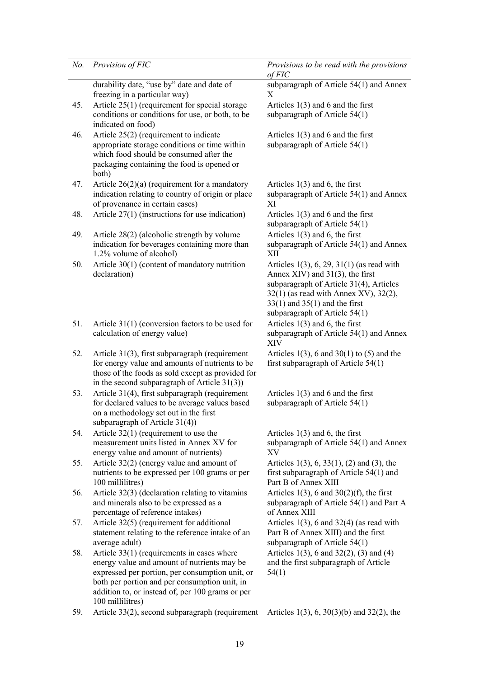| No. | Provision of FIC                                                                                                                                                                                                                                                        | Provisions to be read with the provisions<br>of FIC                                                                                                                                                                                                 |
|-----|-------------------------------------------------------------------------------------------------------------------------------------------------------------------------------------------------------------------------------------------------------------------------|-----------------------------------------------------------------------------------------------------------------------------------------------------------------------------------------------------------------------------------------------------|
|     | durability date, "use by" date and date of<br>freezing in a particular way)                                                                                                                                                                                             | subparagraph of Article 54(1) and Annex<br>X                                                                                                                                                                                                        |
| 45. | Article $25(1)$ (requirement for special storage<br>conditions or conditions for use, or both, to be<br>indicated on food)                                                                                                                                              | Articles $1(3)$ and 6 and the first<br>subparagraph of Article $54(1)$                                                                                                                                                                              |
| 46. | Article 25(2) (requirement to indicate<br>appropriate storage conditions or time within<br>which food should be consumed after the<br>packaging containing the food is opened or<br>both)                                                                               | Articles $1(3)$ and 6 and the first<br>subparagraph of Article 54(1)                                                                                                                                                                                |
| 47. | Article $26(2)(a)$ (requirement for a mandatory<br>indication relating to country of origin or place<br>of provenance in certain cases)                                                                                                                                 | Articles $1(3)$ and 6, the first<br>subparagraph of Article 54(1) and Annex<br>XI                                                                                                                                                                   |
| 48. | Article $27(1)$ (instructions for use indication)                                                                                                                                                                                                                       | Articles $1(3)$ and 6 and the first<br>subparagraph of Article $54(1)$                                                                                                                                                                              |
| 49. | Article 28(2) (alcoholic strength by volume<br>indication for beverages containing more than<br>1.2% volume of alcohol)                                                                                                                                                 | Articles $1(3)$ and 6, the first<br>subparagraph of Article 54(1) and Annex<br>XII                                                                                                                                                                  |
| 50. | Article 30(1) (content of mandatory nutrition<br>declaration)                                                                                                                                                                                                           | Articles $1(3)$ , 6, 29, $31(1)$ (as read with<br>Annex $XIV$ ) and $31(3)$ , the first<br>subparagraph of Article 31(4), Articles<br>32(1) (as read with Annex XV), 32(2),<br>$33(1)$ and $35(1)$ and the first<br>subparagraph of Article $54(1)$ |
| 51. | Article $31(1)$ (conversion factors to be used for<br>calculation of energy value)                                                                                                                                                                                      | Articles $1(3)$ and 6, the first<br>subparagraph of Article 54(1) and Annex<br>XIV                                                                                                                                                                  |
| 52. | Article 31(3), first subparagraph (requirement<br>for energy value and amounts of nutrients to be<br>those of the foods as sold except as provided for<br>in the second subparagraph of Article $31(3)$ )                                                               | Articles $1(3)$ , 6 and $30(1)$ to (5) and the<br>first subparagraph of Article $54(1)$                                                                                                                                                             |
| 53. | Article 31(4), first subparagraph (requirement<br>for declared values to be average values based<br>on a methodology set out in the first<br>subparagraph of Article $31(4)$ )                                                                                          | Articles $1(3)$ and 6 and the first<br>subparagraph of Article $54(1)$                                                                                                                                                                              |
| 54. | Article $32(1)$ (requirement to use the<br>measurement units listed in Annex XV for<br>energy value and amount of nutrients)                                                                                                                                            | Articles $1(3)$ and 6, the first<br>subparagraph of Article 54(1) and Annex<br>XV                                                                                                                                                                   |
| 55. | Article 32(2) (energy value and amount of<br>nutrients to be expressed per 100 grams or per<br>100 millilitres)                                                                                                                                                         | Articles $1(3)$ , 6, 33(1), (2) and (3), the<br>first subparagraph of Article $54(1)$ and<br>Part B of Annex XIII                                                                                                                                   |
| 56. | Article 32(3) (declaration relating to vitamins<br>and minerals also to be expressed as a<br>percentage of reference intakes)                                                                                                                                           | Articles $1(3)$ , 6 and $30(2)(f)$ , the first<br>subparagraph of Article 54(1) and Part A<br>of Annex XIII                                                                                                                                         |
| 57. | Article 32(5) (requirement for additional<br>statement relating to the reference intake of an<br>average adult)                                                                                                                                                         | Articles $1(3)$ , 6 and $32(4)$ (as read with<br>Part B of Annex XIII) and the first<br>subparagraph of Article $54(1)$                                                                                                                             |
| 58. | Article $33(1)$ (requirements in cases where<br>energy value and amount of nutrients may be<br>expressed per portion, per consumption unit, or<br>both per portion and per consumption unit, in<br>addition to, or instead of, per 100 grams or per<br>100 millilitres) | Articles 1(3), 6 and 32(2), (3) and (4)<br>and the first subparagraph of Article<br>54(1)                                                                                                                                                           |

59. Article 33(2), second subparagraph (requirement Articles 1(3), 6, 30(3)(b) and 32(2), the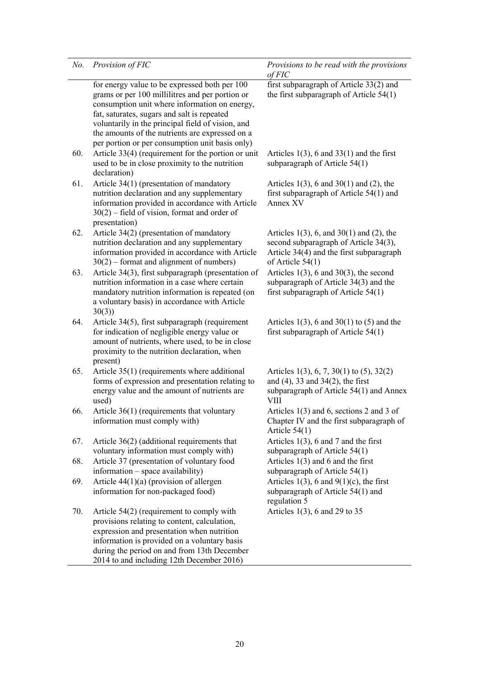| No. | Provision of FIC                                                                                                                                                                                                                                                                                                                                            | Provisions to be read with the provisions<br>$of$ $F$ $IC$                                                                                             |
|-----|-------------------------------------------------------------------------------------------------------------------------------------------------------------------------------------------------------------------------------------------------------------------------------------------------------------------------------------------------------------|--------------------------------------------------------------------------------------------------------------------------------------------------------|
|     | for energy value to be expressed both per 100<br>grams or per 100 millilitres and per portion or<br>consumption unit where information on energy,<br>fat, saturates, sugars and salt is repeated<br>voluntarily in the principal field of vision, and<br>the amounts of the nutrients are expressed on a<br>per portion or per consumption unit basis only) | first subparagraph of Article 33(2) and<br>the first subparagraph of Article $54(1)$                                                                   |
| 60. | Article 33(4) (requirement for the portion or unit<br>used to be in close proximity to the nutrition<br>declaration)                                                                                                                                                                                                                                        | Articles $1(3)$ , 6 and $33(1)$ and the first<br>subparagraph of Article 54(1)                                                                         |
| 61. | Article 34(1) (presentation of mandatory<br>nutrition declaration and any supplementary<br>information provided in accordance with Article<br>$30(2)$ – field of vision, format and order of<br>presentation)                                                                                                                                               | Articles $1(3)$ , 6 and $30(1)$ and (2), the<br>first subparagraph of Article $54(1)$ and<br>Annex XV                                                  |
| 62. | Article 34(2) (presentation of mandatory<br>nutrition declaration and any supplementary<br>information provided in accordance with Article<br>$30(2)$ – format and alignment of numbers)                                                                                                                                                                    | Articles $1(3)$ , 6, and $30(1)$ and (2), the<br>second subparagraph of Article 34(3),<br>Article 34(4) and the first subparagraph<br>of Article 54(1) |
| 63. | Article 34(3), first subparagraph (presentation of<br>nutrition information in a case where certain<br>mandatory nutrition information is repeated (on<br>a voluntary basis) in accordance with Article<br>30(3)                                                                                                                                            | Articles $1(3)$ , 6 and $30(3)$ , the second<br>subparagraph of Article 34(3) and the<br>first subparagraph of Article $54(1)$                         |
| 64. | Article 34(5), first subparagraph (requirement<br>for indication of negligible energy value or<br>amount of nutrients, where used, to be in close<br>proximity to the nutrition declaration, when<br>present)                                                                                                                                               | Articles $1(3)$ , 6 and $30(1)$ to (5) and the<br>first subparagraph of Article $54(1)$                                                                |
| 65. | Article 35(1) (requirements where additional<br>forms of expression and presentation relating to<br>energy value and the amount of nutrients are<br>used)                                                                                                                                                                                                   | Articles 1(3), 6, 7, 30(1) to (5), 32(2)<br>and $(4)$ , 33 and 34 $(2)$ , the first<br>subparagraph of Article 54(1) and Annex<br>VIII                 |
| 66. | Article 36(1) (requirements that voluntary<br>information must comply with)                                                                                                                                                                                                                                                                                 | Articles $1(3)$ and 6, sections 2 and 3 of<br>Chapter IV and the first subparagraph of<br>Article $54(1)$                                              |
| 67. | Article $36(2)$ (additional requirements that<br>voluntary information must comply with)                                                                                                                                                                                                                                                                    | Articles $1(3)$ , 6 and 7 and the first<br>subparagraph of Article 54(1)                                                                               |
| 68. | Article 37 (presentation of voluntary food<br>information – space availability)                                                                                                                                                                                                                                                                             | Articles $1(3)$ and 6 and the first<br>subparagraph of Article $54(1)$                                                                                 |
| 69. | Article $44(1)(a)$ (provision of allergen<br>information for non-packaged food)                                                                                                                                                                                                                                                                             | Articles 1(3), 6 and $9(1)(c)$ , the first<br>subparagraph of Article 54(1) and<br>regulation 5                                                        |
| 70. | Article $54(2)$ (requirement to comply with<br>provisions relating to content, calculation,<br>expression and presentation when nutrition<br>information is provided on a voluntary basis<br>during the period on and from 13th December<br>2014 to and including 12th December 2016)                                                                       | Articles 1(3), 6 and 29 to 35                                                                                                                          |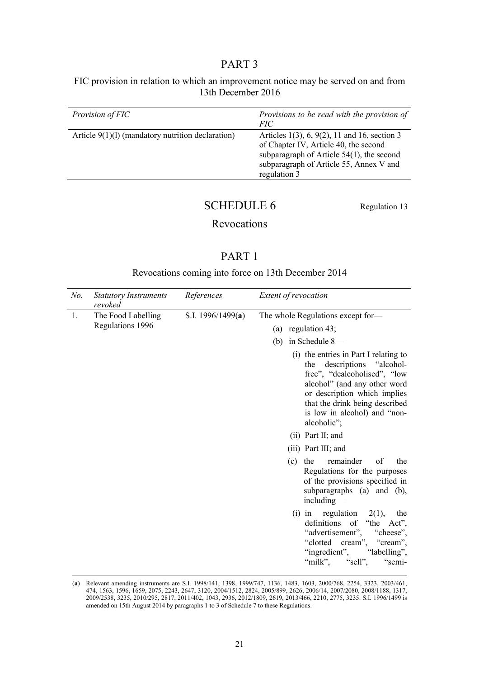# PART 3

FIC provision in relation to which an improvement notice may be served on and from 13th December 2016

| <i>Provision of FIC</i>                             | Provisions to be read with the provision of<br><i>FIC</i>                                                                                                                                              |
|-----------------------------------------------------|--------------------------------------------------------------------------------------------------------------------------------------------------------------------------------------------------------|
| Article $9(1)(1)$ (mandatory nutrition declaration) | Articles $1(3)$ , 6, $9(2)$ , 11 and 16, section 3<br>of Chapter IV, Article 40, the second<br>subparagraph of Article $54(1)$ , the second<br>subparagraph of Article 55, Annex V and<br>regulation 3 |
|                                                     |                                                                                                                                                                                                        |

# SCHEDULE 6 Regulation 13

# Revocations

# PART 1

Revocations coming into force on 13th December 2014

| No. | <b>Statutory Instruments</b><br>revoked | References          | Extent of revocation                                                                                                                                                                                                                                    |  |  |
|-----|-----------------------------------------|---------------------|---------------------------------------------------------------------------------------------------------------------------------------------------------------------------------------------------------------------------------------------------------|--|--|
| 1.  | The Food Labelling<br>Regulations 1996  | S.I. 1996/1499(a)   | The whole Regulations except for-                                                                                                                                                                                                                       |  |  |
|     |                                         |                     | (a) regulation $43$ ;                                                                                                                                                                                                                                   |  |  |
|     |                                         |                     | in Schedule 8-<br>(b)                                                                                                                                                                                                                                   |  |  |
|     |                                         |                     | (i) the entries in Part I relating to<br>descriptions "alcohol-<br>the<br>free", "dealcoholised", "low<br>alcohol" (and any other word<br>or description which implies<br>that the drink being described<br>is low in alcohol) and "non-<br>alcoholic"; |  |  |
|     |                                         | $(ii)$ Part II; and |                                                                                                                                                                                                                                                         |  |  |
|     |                                         |                     | (iii) Part III; and                                                                                                                                                                                                                                     |  |  |
|     |                                         |                     | remainder<br>of<br>$(c)$ the<br>the<br>Regulations for the purposes<br>of the provisions specified in<br>subparagraphs (a) and (b),<br>including-                                                                                                       |  |  |
|     |                                         |                     | (i) in regulation<br>2(1),<br>the<br>definitions of "the Act",<br>"advertisement", "cheese",<br>"clotted cream", "cream",<br>"ingredient", "labelling",<br>"sell",<br>"milk",<br>"semi-                                                                 |  |  |

 <sup>(</sup>**a**) Relevant amending instruments are S.I. 1998/141, 1398, 1999/747, 1136, 1483, 1603, 2000/768, 2254, 3323, 2003/461, 474, 1563, 1596, 1659, 2075, 2243, 2647, 3120, 2004/1512, 2824, 2005/899, 2626, 2006/14, 2007/2080, 2008/1188, 1317, 2009/2538, 3235, 2010/295, 2817, 2011/402, 1043, 2936, 2012/1809, 2619, 2013/466, 2210, 2775, 3235. S.I. 1996/1499 is amended on 15th August 2014 by paragraphs 1 to 3 of Schedule 7 to these Regulations.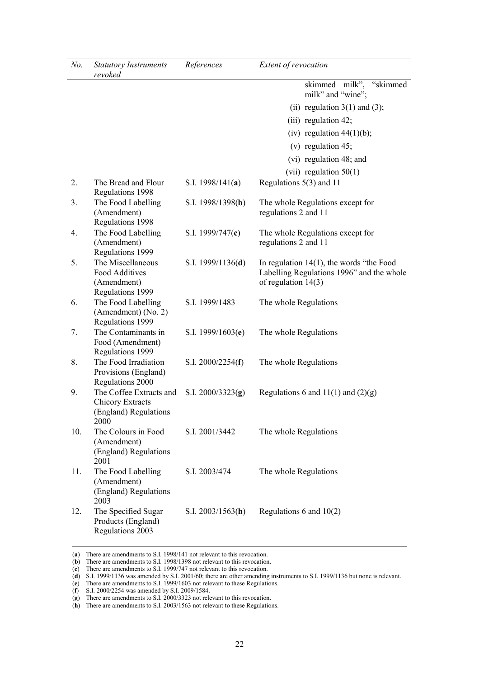| No. | <b>Statutory Instruments</b><br>revoked                                             | References                 | Extent of revocation                                                                                              |
|-----|-------------------------------------------------------------------------------------|----------------------------|-------------------------------------------------------------------------------------------------------------------|
|     |                                                                                     |                            | skimmed milk", "skimmed<br>milk" and "wine";                                                                      |
|     |                                                                                     |                            | (ii) regulation $3(1)$ and $(3)$ ;                                                                                |
|     |                                                                                     |                            | $(iii)$ regulation 42;                                                                                            |
|     |                                                                                     |                            | (iv) regulation $44(1)(b)$ ;                                                                                      |
|     |                                                                                     |                            | $(v)$ regulation 45;                                                                                              |
|     |                                                                                     |                            | (vi) regulation 48; and                                                                                           |
|     |                                                                                     |                            | (vii) regulation $50(1)$                                                                                          |
| 2.  | The Bread and Flour<br>Regulations 1998                                             | S.I. $1998/141(a)$         | Regulations $5(3)$ and 11                                                                                         |
| 3.  | The Food Labelling<br>(Amendment)<br>Regulations 1998                               | S.I. 1998/1398( <b>b</b> ) | The whole Regulations except for<br>regulations 2 and 11                                                          |
| 4.  | The Food Labelling<br>(Amendment)<br>Regulations 1999                               | S.I. 1999/747(c)           | The whole Regulations except for<br>regulations 2 and 11                                                          |
| 5.  | The Miscellaneous<br>Food Additives<br>(Amendment)<br>Regulations 1999              | S.I. $1999/1136(d)$        | In regulation $14(1)$ , the words "the Food<br>Labelling Regulations 1996" and the whole<br>of regulation $14(3)$ |
| 6.  | The Food Labelling<br>(Amendment) (No. 2)<br>Regulations 1999                       | S.I. 1999/1483             | The whole Regulations                                                                                             |
| 7.  | The Contaminants in<br>Food (Amendment)<br>Regulations 1999                         | S.I. $1999/1603(e)$        | The whole Regulations                                                                                             |
| 8.  | The Food Irradiation<br>Provisions (England)<br>Regulations 2000                    | S.I. $2000/2254(f)$        | The whole Regulations                                                                                             |
| 9.  | The Coffee Extracts and<br><b>Chicory Extracts</b><br>(England) Regulations<br>2000 | S.I. $2000/3323(g)$        | Regulations 6 and $11(1)$ and $(2)(g)$                                                                            |
| 10. | The Colours in Food<br>(Amendment)<br>(England) Regulations<br>2001                 | S.I. 2001/3442             | The whole Regulations                                                                                             |
| 11. | The Food Labelling<br>(Amendment)<br>(England) Regulations<br>2003                  | S.I. 2003/474              | The whole Regulations                                                                                             |
| 12. | The Specified Sugar<br>Products (England)<br>Regulations 2003                       | S.I. $2003/1563(h)$        | Regulations 6 and $10(2)$                                                                                         |

(**a**) There are amendments to S.I. 1998/141 not relevant to this revocation.

(**e**) There are amendments to S.I. 1999/1603 not relevant to these Regulations.

(**f**) S.I. 2000/2254 was amended by S.I. 2009/1584.

(**h**) There are amendments to S.I. 2003/1563 not relevant to these Regulations.

<sup>(</sup>**b**) There are amendments to S.I. 1998/1398 not relevant to this revocation.

<sup>(</sup>**c**) There are amendments to S.I. 1999/747 not relevant to this revocation.

<sup>(</sup>**d**) S.I. 1999/1136 was amended by S.I. 2001/60; there are other amending instruments to S.I. 1999/1136 but none is relevant.

<sup>(</sup>**g**) There are amendments to S.I. 2000/3323 not relevant to this revocation.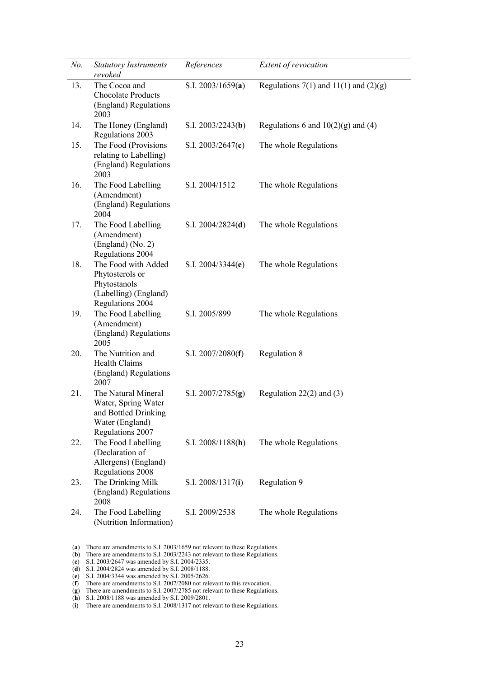| No. | <b>Statutory Instruments</b><br>revoked                                                                   | References          | Extent of revocation                    |
|-----|-----------------------------------------------------------------------------------------------------------|---------------------|-----------------------------------------|
| 13. | The Cocoa and<br><b>Chocolate Products</b><br>(England) Regulations<br>2003                               | S.I. $2003/1659(a)$ | Regulations 7(1) and 11(1) and $(2)(g)$ |
| 14. | The Honey (England)<br>Regulations 2003                                                                   | S.I. $2003/2243(b)$ | Regulations 6 and $10(2)(g)$ and (4)    |
| 15. | The Food (Provisions<br>relating to Labelling)<br>(England) Regulations<br>2003                           | S.I. $2003/2647(c)$ | The whole Regulations                   |
| 16. | The Food Labelling<br>(Amendment)<br>(England) Regulations<br>2004                                        | S.I. 2004/1512      | The whole Regulations                   |
| 17. | The Food Labelling<br>(Amendment)<br>(England) (No. 2)<br>Regulations 2004                                | S.I. $2004/2824(d)$ | The whole Regulations                   |
| 18. | The Food with Added<br>Phytosterols or<br>Phytostanols<br>(Labelling) (England)<br>Regulations 2004       | S.I. $2004/3344(e)$ | The whole Regulations                   |
| 19. | The Food Labelling<br>(Amendment)<br>(England) Regulations<br>2005                                        | S.I. 2005/899       | The whole Regulations                   |
| 20. | The Nutrition and<br><b>Health Claims</b><br>(England) Regulations<br>2007                                | S.I. $2007/2080(f)$ | Regulation 8                            |
| 21. | The Natural Mineral<br>Water, Spring Water<br>and Bottled Drinking<br>Water (England)<br>Regulations 2007 | S.I. $2007/2785(g)$ | Regulation $22(2)$ and $(3)$            |
| 22. | The Food Labelling<br>(Declaration of<br>Allergens) (England)<br>Regulations 2008                         | S.I. $2008/1188(h)$ | The whole Regulations                   |
| 23. | The Drinking Milk<br>(England) Regulations<br>2008                                                        | S.I. 2008/1317(i)   | Regulation 9                            |
| 24. | The Food Labelling<br>(Nutrition Information)                                                             | S.I. 2009/2538      | The whole Regulations                   |

 <sup>(</sup>**a**) There are amendments to S.I. 2003/1659 not relevant to these Regulations.

<sup>(</sup>**b**) There are amendments to S.I. 2003/2243 not relevant to these Regulations.

<sup>(</sup>**c**) S.I. 2003/2647 was amended by S.I. 2004/2335.

<sup>(</sup>**d**) S.I. 2004/2824 was amended by S.I. 2008/1188.

<sup>(</sup>**e**) S.I. 2004/3344 was amended by S.I. 2005/2626.

<sup>(</sup>**f**) There are amendments to S.I. 2007/2080 not relevant to this revocation.

<sup>(</sup>**g**) There are amendments to S.I. 2007/2785 not relevant to these Regulations.

<sup>(</sup>**h**) S.I. 2008/1188 was amended by S.I. 2009/2801.

<sup>(</sup>**i**) There are amendments to S.I. 2008/1317 not relevant to these Regulations.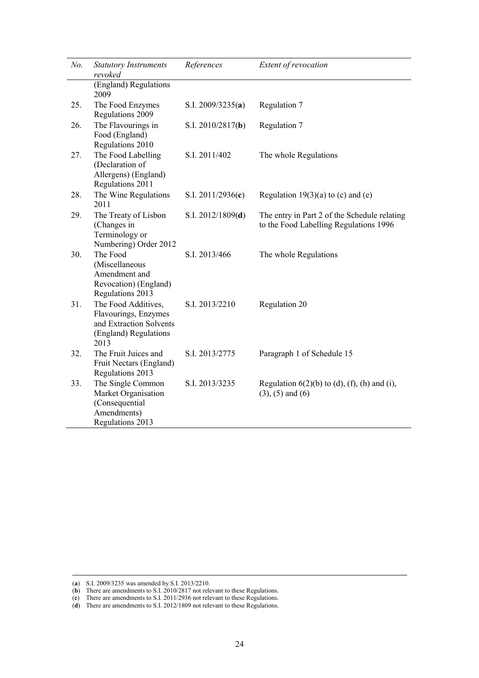| No. | <b>Statutory Instruments</b><br>revoked                                                                 | References          | Extent of revocation                                                                   |
|-----|---------------------------------------------------------------------------------------------------------|---------------------|----------------------------------------------------------------------------------------|
|     | (England) Regulations<br>2009                                                                           |                     |                                                                                        |
| 25. | The Food Enzymes<br>Regulations 2009                                                                    | S.I. $2009/3235(a)$ | Regulation 7                                                                           |
| 26. | The Flavourings in<br>Food (England)<br>Regulations 2010                                                | S.I. $2010/2817(b)$ | Regulation 7                                                                           |
| 27. | The Food Labelling<br>(Declaration of<br>Allergens) (England)<br>Regulations 2011                       | S.I. 2011/402       | The whole Regulations                                                                  |
| 28. | The Wine Regulations<br>2011                                                                            | S.I. $2011/2936(c)$ | Regulation $19(3)(a)$ to (c) and (e)                                                   |
| 29. | The Treaty of Lisbon<br>(Changes in<br>Terminology or<br>Numbering) Order 2012                          | S.I. 2012/1809(d)   | The entry in Part 2 of the Schedule relating<br>to the Food Labelling Regulations 1996 |
| 30. | The Food<br>(Miscellaneous<br>Amendment and<br>Revocation) (England)<br>Regulations 2013                | S.I. 2013/466       | The whole Regulations                                                                  |
| 31. | The Food Additives,<br>Flavourings, Enzymes<br>and Extraction Solvents<br>(England) Regulations<br>2013 | S.I. 2013/2210      | Regulation 20                                                                          |
| 32. | The Fruit Juices and<br>Fruit Nectars (England)<br>Regulations 2013                                     | S.I. 2013/2775      | Paragraph 1 of Schedule 15                                                             |
| 33. | The Single Common<br>Market Organisation<br>(Consequential<br>Amendments)<br>Regulations 2013           | S.I. 2013/3235      | Regulation $6(2)(b)$ to (d), (f), (h) and (i),<br>$(3)$ , $(5)$ and $(6)$              |

 <sup>(</sup>**a**) S.I. 2009/3235 was amended by S.I. 2013/2210.

<sup>(</sup>**b**) There are amendments to S.I. 2010/2817 not relevant to these Regulations.

<sup>(</sup>**c**) There are amendments to S.I. 2011/2936 not relevant to these Regulations.

<sup>(</sup>**d**) There are amendments to S.I. 2012/1809 not relevant to these Regulations.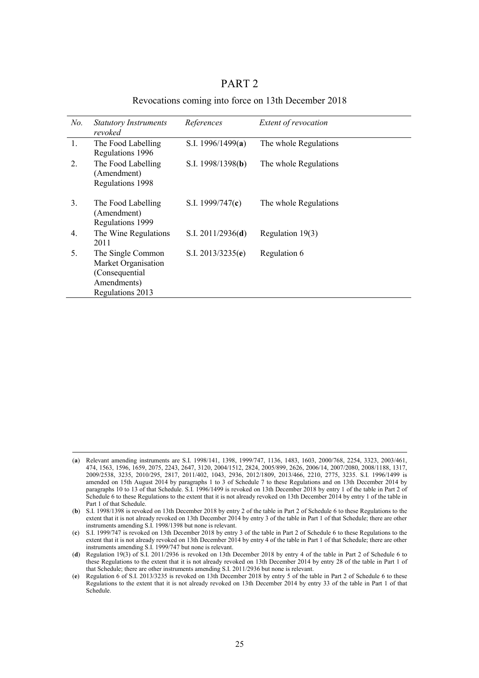|                                            | PART <sub>2</sub> |  |  |
|--------------------------------------------|-------------------|--|--|
| $\sim$ , $\sim$ , $\sim$ , $\sim$ , 124. D |                   |  |  |

Revocations coming into force on 13th December 2018

| No.              | <b>Statutory Instruments</b><br>revoked                                                       | References          | Extent of revocation  |
|------------------|-----------------------------------------------------------------------------------------------|---------------------|-----------------------|
| 1.               | The Food Labelling<br>Regulations 1996                                                        | S.I. 1996/1499(a)   | The whole Regulations |
| $\overline{2}$ . | The Food Labelling<br>(Amendment)<br>Regulations 1998                                         | S.I. $1998/1398(b)$ | The whole Regulations |
| 3.               | The Food Labelling<br>(Amendment)<br>Regulations 1999                                         | S.I. $1999/747(c)$  | The whole Regulations |
| $\overline{4}$ . | The Wine Regulations<br>2011                                                                  | S.I. $2011/2936(d)$ | Regulation 19(3)      |
| 5.               | The Single Common<br>Market Organisation<br>(Consequential<br>Amendments)<br>Regulations 2013 | S.I. $2013/3235(e)$ | Regulation 6          |

 <sup>(</sup>**a**) Relevant amending instruments are S.I. 1998/141, 1398, 1999/747, 1136, 1483, 1603, 2000/768, 2254, 3323, 2003/461, 474, 1563, 1596, 1659, 2075, 2243, 2647, 3120, 2004/1512, 2824, 2005/899, 2626, 2006/14, 2007/2080, 2008/1188, 1317, 2009/2538, 3235, 2010/295, 2817, 2011/402, 1043, 2936, 2012/1809, 2013/466, 2210, 2775, 3235. S.I. 1996/1499 is amended on 15th August 2014 by paragraphs 1 to 3 of Schedule 7 to these Regulations and on 13th December 2014 by paragraphs 10 to 13 of that Schedule. S.I. 1996/1499 is revoked on 13th December 2018 by entry 1 of the table in Part 2 of Schedule 6 to these Regulations to the extent that it is not already revoked on 13th December 2014 by entry 1 of the table in Part 1 of that Schedule.

<sup>(</sup>**b**) S.I. 1998/1398 is revoked on 13th December 2018 by entry 2 of the table in Part 2 of Schedule 6 to these Regulations to the extent that it is not already revoked on 13th December 2014 by entry 3 of the table in Part 1 of that Schedule; there are other instruments amending S.I. 1998/1398 but none is relevant.

<sup>(</sup>**c**) S.I. 1999/747 is revoked on 13th December 2018 by entry 3 of the table in Part 2 of Schedule 6 to these Regulations to the extent that it is not already revoked on 13th December 2014 by entry 4 of the table in Part 1 of that Schedule; there are other instruments amending S.I. 1999/747 but none is relevant.

<sup>(</sup>**d**) Regulation 19(3) of S.I. 2011/2936 is revoked on 13th December 2018 by entry 4 of the table in Part 2 of Schedule 6 to these Regulations to the extent that it is not already revoked on 13th December 2014 by entry 28 of the table in Part 1 of that Schedule; there are other instruments amending S.I. 2011/2936 but none is relevant.

<sup>(</sup>**e**) Regulation 6 of S.I. 2013/3235 is revoked on 13th December 2018 by entry 5 of the table in Part 2 of Schedule 6 to these Regulations to the extent that it is not already revoked on 13th December 2014 by entry 33 of the table in Part 1 of that Schedule.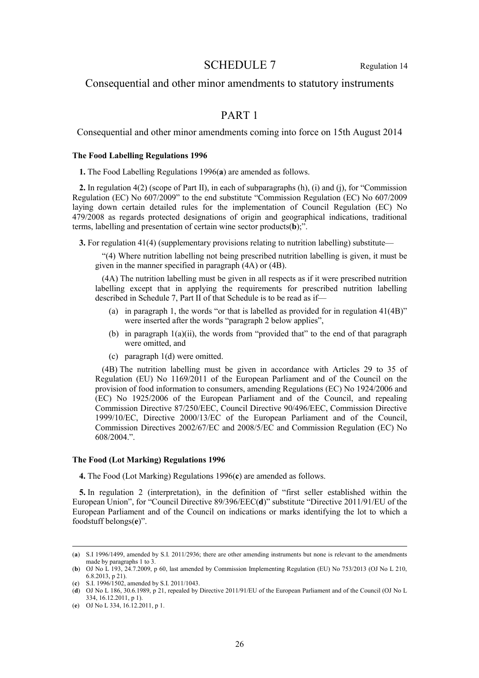# SCHEDULE 7 Regulation 14

# Consequential and other minor amendments to statutory instruments

# PART 1

Consequential and other minor amendments coming into force on 15th August 2014

### **The Food Labelling Regulations 1996**

**1.** The Food Labelling Regulations 1996(**a**) are amended as follows.

**2.** In regulation 4(2) (scope of Part II), in each of subparagraphs (h), (i) and (j), for "Commission Regulation (EC) No 607/2009" to the end substitute "Commission Regulation (EC) No 607/2009 laying down certain detailed rules for the implementation of Council Regulation (EC) No 479/2008 as regards protected designations of origin and geographical indications, traditional terms, labelling and presentation of certain wine sector products(**b**);".

**3.** For regulation 41(4) (supplementary provisions relating to nutrition labelling) substitute—

"(4) Where nutrition labelling not being prescribed nutrition labelling is given, it must be given in the manner specified in paragraph (4A) or (4B).

(4A) The nutrition labelling must be given in all respects as if it were prescribed nutrition labelling except that in applying the requirements for prescribed nutrition labelling described in Schedule 7, Part II of that Schedule is to be read as if—

- (a) in paragraph 1, the words "or that is labelled as provided for in regulation 41(4B)" were inserted after the words "paragraph 2 below applies",
- (b) in paragraph 1(a)(ii), the words from "provided that" to the end of that paragraph were omitted, and
- (c) paragraph 1(d) were omitted.

(4B) The nutrition labelling must be given in accordance with Articles 29 to 35 of Regulation (EU) No 1169/2011 of the European Parliament and of the Council on the provision of food information to consumers, amending Regulations (EC) No 1924/2006 and (EC) No 1925/2006 of the European Parliament and of the Council, and repealing Commission Directive 87/250/EEC, Council Directive 90/496/EEC, Commission Directive 1999/10/EC, Directive 2000/13/EC of the European Parliament and of the Council, Commission Directives 2002/67/EC and 2008/5/EC and Commission Regulation (EC) No 608/2004.".

### **The Food (Lot Marking) Regulations 1996**

**4.** The Food (Lot Marking) Regulations 1996(**c**) are amended as follows.

**5.** In regulation 2 (interpretation), in the definition of "first seller established within the European Union", for "Council Directive 89/396/EEC(**d**)" substitute "Directive 2011/91/EU of the European Parliament and of the Council on indications or marks identifying the lot to which a foodstuff belongs(**e**)".

 <sup>(</sup>**a**) S.I 1996/1499, amended by S.I. 2011/2936; there are other amending instruments but none is relevant to the amendments made by paragraphs 1 to 3.

<sup>(</sup>**b**) OJ No L 193, 24.7.2009, p 60, last amended by Commission Implementing Regulation (EU) No 753/2013 (OJ No L 210, 6.8.2013, p 21).

<sup>(</sup>**c**) S.I. 1996/1502, amended by S.I. 2011/1043.

<sup>(</sup>**d**) OJ No L 186, 30.6.1989, p 21, repealed by Directive 2011/91/EU of the European Parliament and of the Council (OJ No L 334, 16.12.2011, p 1).

<sup>(</sup>**e**) OJ No L 334, 16.12.2011, p 1.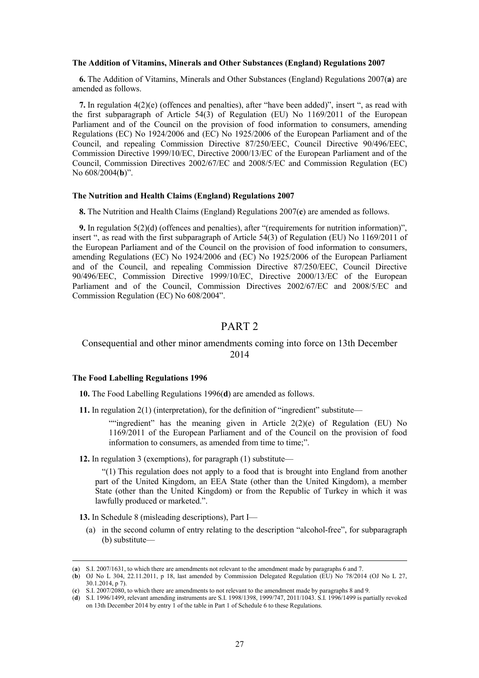#### **The Addition of Vitamins, Minerals and Other Substances (England) Regulations 2007**

**6.** The Addition of Vitamins, Minerals and Other Substances (England) Regulations 2007(**a**) are amended as follows.

**7.** In regulation 4(2)(e) (offences and penalties), after "have been added)", insert ", as read with the first subparagraph of Article 54(3) of Regulation (EU) No 1169/2011 of the European Parliament and of the Council on the provision of food information to consumers, amending Regulations (EC) No 1924/2006 and (EC) No 1925/2006 of the European Parliament and of the Council, and repealing Commission Directive 87/250/EEC, Council Directive 90/496/EEC, Commission Directive 1999/10/EC, Directive 2000/13/EC of the European Parliament and of the Council, Commission Directives 2002/67/EC and 2008/5/EC and Commission Regulation (EC) No 608/2004(**b**)".

### **The Nutrition and Health Claims (England) Regulations 2007**

**8.** The Nutrition and Health Claims (England) Regulations 2007(**c**) are amended as follows.

**9.** In regulation 5(2)(d) (offences and penalties), after "(requirements for nutrition information)", insert ", as read with the first subparagraph of Article 54(3) of Regulation (EU) No 1169/2011 of the European Parliament and of the Council on the provision of food information to consumers, amending Regulations (EC) No 1924/2006 and (EC) No 1925/2006 of the European Parliament and of the Council, and repealing Commission Directive 87/250/EEC, Council Directive 90/496/EEC, Commission Directive 1999/10/EC, Directive 2000/13/EC of the European Parliament and of the Council, Commission Directives 2002/67/EC and 2008/5/EC and Commission Regulation (EC) No 608/2004".

# PART 2

### Consequential and other minor amendments coming into force on 13th December 2014

### **The Food Labelling Regulations 1996**

**10.** The Food Labelling Regulations 1996(**d**) are amended as follows.

**11.** In regulation 2(1) (interpretation), for the definition of "ingredient" substitute—

""ingredient" has the meaning given in Article  $2(2)(e)$  of Regulation (EU) No 1169/2011 of the European Parliament and of the Council on the provision of food information to consumers, as amended from time to time;".

**12.** In regulation 3 (exemptions), for paragraph (1) substitute—

"(1) This regulation does not apply to a food that is brought into England from another part of the United Kingdom, an EEA State (other than the United Kingdom), a member State (other than the United Kingdom) or from the Republic of Turkey in which it was lawfully produced or marketed.".

**13.** In Schedule 8 (misleading descriptions), Part I—

(a) in the second column of entry relating to the description "alcohol-free", for subparagraph (b) substitute—

 <sup>(</sup>**a**) S.I. 2007/1631, to which there are amendments not relevant to the amendment made by paragraphs 6 and 7.

<sup>(</sup>**b**) OJ No L 304, 22.11.2011, p 18, last amended by Commission Delegated Regulation (EU) No 78/2014 (OJ No L 27, 30.1.2014, p 7).

<sup>(</sup>**c**) S.I. 2007/2080, to which there are amendments to not relevant to the amendment made by paragraphs 8 and 9.

<sup>(</sup>**d**) S.I. 1996/1499, relevant amending instruments are S.I. 1998/1398, 1999/747, 2011/1043. S.I. 1996/1499 is partially revoked on 13th December 2014 by entry 1 of the table in Part 1 of Schedule 6 to these Regulations.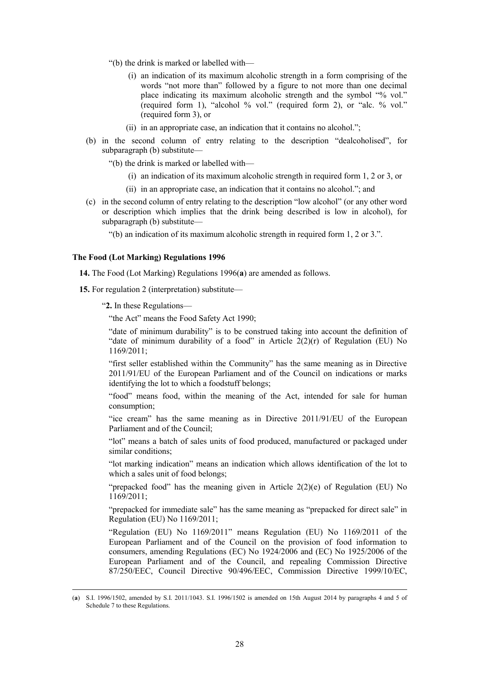- "(b) the drink is marked or labelled with—
	- (i) an indication of its maximum alcoholic strength in a form comprising of the words "not more than" followed by a figure to not more than one decimal place indicating its maximum alcoholic strength and the symbol "% vol." (required form 1), "alcohol % vol." (required form 2), or "alc. % vol." (required form 3), or
	- (ii) in an appropriate case, an indication that it contains no alcohol.";
- (b) in the second column of entry relating to the description "dealcoholised", for subparagraph (b) substitute—
	- "(b) the drink is marked or labelled with—
		- (i) an indication of its maximum alcoholic strength in required form 1, 2 or 3, or
		- (ii) in an appropriate case, an indication that it contains no alcohol."; and
- (c) in the second column of entry relating to the description "low alcohol" (or any other word or description which implies that the drink being described is low in alcohol), for subparagraph (b) substitute—

"(b) an indication of its maximum alcoholic strength in required form 1, 2 or 3.".

#### **The Food (Lot Marking) Regulations 1996**

**14.** The Food (Lot Marking) Regulations 1996(**a**) are amended as follows.

**15.** For regulation 2 (interpretation) substitute—

"**2.** In these Regulations—

"the Act" means the Food Safety Act 1990;

"date of minimum durability" is to be construed taking into account the definition of "date of minimum durability of a food" in Article  $2(2)(r)$  of Regulation (EU) No 1169/2011;

"first seller established within the Community" has the same meaning as in Directive 2011/91/EU of the European Parliament and of the Council on indications or marks identifying the lot to which a foodstuff belongs;

"food" means food, within the meaning of the Act, intended for sale for human consumption;

"ice cream" has the same meaning as in Directive 2011/91/EU of the European Parliament and of the Council:

"lot" means a batch of sales units of food produced, manufactured or packaged under similar conditions;

"lot marking indication" means an indication which allows identification of the lot to which a sales unit of food belongs;

"prepacked food" has the meaning given in Article 2(2)(e) of Regulation (EU) No 1169/2011;

"prepacked for immediate sale" has the same meaning as "prepacked for direct sale" in Regulation (EU) No 1169/2011;

"Regulation (EU) No 1169/2011" means Regulation (EU) No 1169/2011 of the European Parliament and of the Council on the provision of food information to consumers, amending Regulations (EC) No 1924/2006 and (EC) No 1925/2006 of the European Parliament and of the Council, and repealing Commission Directive 87/250/EEC, Council Directive 90/496/EEC, Commission Directive 1999/10/EC,

 <sup>(</sup>**a**) S.I. 1996/1502, amended by S.I. 2011/1043. S.I. 1996/1502 is amended on 15th August 2014 by paragraphs 4 and 5 of Schedule 7 to these Regulations.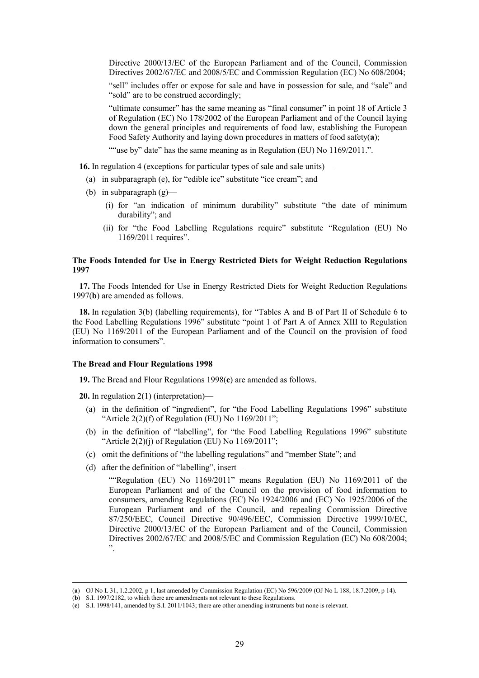Directive 2000/13/EC of the European Parliament and of the Council, Commission Directives 2002/67/EC and 2008/5/EC and Commission Regulation (EC) No 608/2004;

"sell" includes offer or expose for sale and have in possession for sale, and "sale" and "sold" are to be construed accordingly;

"ultimate consumer" has the same meaning as "final consumer" in point 18 of Article 3 of Regulation (EC) No 178/2002 of the European Parliament and of the Council laying down the general principles and requirements of food law, establishing the European Food Safety Authority and laying down procedures in matters of food safety(**a**);

""use by" date" has the same meaning as in Regulation (EU) No 1169/2011.".

**16.** In regulation 4 (exceptions for particular types of sale and sale units)—

- (a) in subparagraph (e), for "edible ice" substitute "ice cream"; and
- (b) in subparagraph  $(g)$ 
	- (i) for "an indication of minimum durability" substitute "the date of minimum durability"; and
	- (ii) for "the Food Labelling Regulations require" substitute "Regulation (EU) No 1169/2011 requires".

### **The Foods Intended for Use in Energy Restricted Diets for Weight Reduction Regulations 1997**

**17.** The Foods Intended for Use in Energy Restricted Diets for Weight Reduction Regulations 1997(**b**) are amended as follows.

**18.** In regulation 3(b) (labelling requirements), for "Tables A and B of Part II of Schedule 6 to the Food Labelling Regulations 1996" substitute "point 1 of Part A of Annex XIII to Regulation (EU) No 1169/2011 of the European Parliament and of the Council on the provision of food information to consumers".

#### **The Bread and Flour Regulations 1998**

**19.** The Bread and Flour Regulations 1998(**c**) are amended as follows.

**20.** In regulation 2(1) (interpretation)—

- (a) in the definition of "ingredient", for "the Food Labelling Regulations 1996" substitute "Article  $2(2)(f)$  of Regulation (EU) No  $1169/2011$ ";
- (b) in the definition of "labelling", for "the Food Labelling Regulations 1996" substitute "Article  $2(2)(j)$  of Regulation (EU) No  $1169/2011$ ";
- (c) omit the definitions of "the labelling regulations" and "member State"; and
- (d) after the definition of "labelling", insert—

""Regulation (EU) No 1169/2011" means Regulation (EU) No 1169/2011 of the European Parliament and of the Council on the provision of food information to consumers, amending Regulations (EC) No 1924/2006 and (EC) No 1925/2006 of the European Parliament and of the Council, and repealing Commission Directive 87/250/EEC, Council Directive 90/496/EEC, Commission Directive 1999/10/EC, Directive 2000/13/EC of the European Parliament and of the Council, Commission Directives 2002/67/EC and 2008/5/EC and Commission Regulation (EC) No 608/2004; ".

 <sup>(</sup>**a**) OJ No L 31, 1.2.2002, p 1, last amended by Commission Regulation (EC) No 596/2009 (OJ No L 188, 18.7.2009, p 14).

<sup>(</sup>**b**) S.I. 1997/2182, to which there are amendments not relevant to these Regulations.

<sup>(</sup>**c**) S.I. 1998/141, amended by S.I. 2011/1043; there are other amending instruments but none is relevant.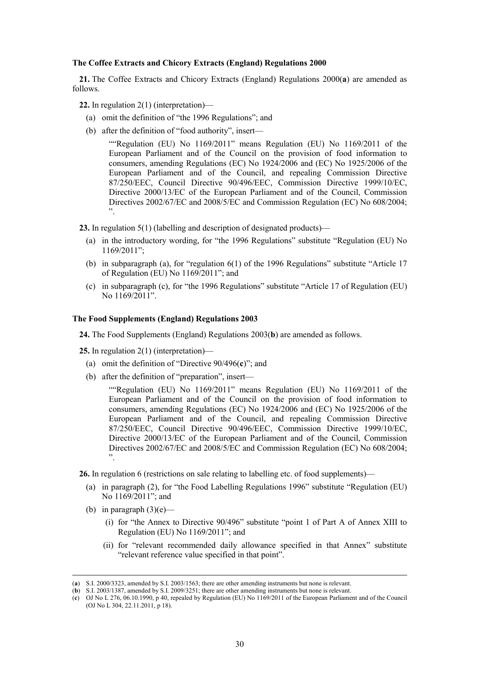### **The Coffee Extracts and Chicory Extracts (England) Regulations 2000**

**21.** The Coffee Extracts and Chicory Extracts (England) Regulations 2000(**a**) are amended as follows.

**22.** In regulation 2(1) (interpretation)—

- (a) omit the definition of "the 1996 Regulations"; and
- (b) after the definition of "food authority", insert—

""Regulation (EU) No 1169/2011" means Regulation (EU) No 1169/2011 of the European Parliament and of the Council on the provision of food information to consumers, amending Regulations (EC) No 1924/2006 and (EC) No 1925/2006 of the European Parliament and of the Council, and repealing Commission Directive 87/250/EEC, Council Directive 90/496/EEC, Commission Directive 1999/10/EC, Directive 2000/13/EC of the European Parliament and of the Council, Commission Directives 2002/67/EC and 2008/5/EC and Commission Regulation (EC) No 608/2004; ".

**23.** In regulation 5(1) (labelling and description of designated products)—

- (a) in the introductory wording, for "the 1996 Regulations" substitute "Regulation (EU) No 1169/2011";
- (b) in subparagraph (a), for "regulation 6(1) of the 1996 Regulations" substitute "Article 17 of Regulation (EU) No 1169/2011"; and
- (c) in subparagraph (c), for "the 1996 Regulations" substitute "Article 17 of Regulation (EU) No 1169/2011".

### **The Food Supplements (England) Regulations 2003**

**24.** The Food Supplements (England) Regulations 2003(**b**) are amended as follows.

**25.** In regulation 2(1) (interpretation)—

- (a) omit the definition of "Directive 90/496(**c**)"; and
- (b) after the definition of "preparation", insert—

""Regulation (EU) No 1169/2011" means Regulation (EU) No 1169/2011 of the European Parliament and of the Council on the provision of food information to consumers, amending Regulations (EC) No 1924/2006 and (EC) No 1925/2006 of the European Parliament and of the Council, and repealing Commission Directive 87/250/EEC, Council Directive 90/496/EEC, Commission Directive 1999/10/EC, Directive 2000/13/EC of the European Parliament and of the Council, Commission Directives 2002/67/EC and 2008/5/EC and Commission Regulation (EC) No 608/2004; ".

**26.** In regulation 6 (restrictions on sale relating to labelling etc. of food supplements)—

- (a) in paragraph (2), for "the Food Labelling Regulations 1996" substitute "Regulation (EU) No 1169/2011"; and
- (b) in paragraph  $(3)(e)$ 
	- (i) for "the Annex to Directive 90/496" substitute "point 1 of Part A of Annex XIII to Regulation (EU) No 1169/2011"; and
	- (ii) for "relevant recommended daily allowance specified in that Annex" substitute "relevant reference value specified in that point".

 <sup>(</sup>**a**) S.I. 2000/3323, amended by S.I. 2003/1563; there are other amending instruments but none is relevant.

<sup>(</sup>**b**) S.I. 2003/1387, amended by S.I. 2009/3251; there are other amending instruments but none is relevant.

<sup>(</sup>**c**) OJ No L 276, 06.10.1990, p 40, repealed by Regulation (EU) No 1169/2011 of the European Parliament and of the Council (OJ No L 304, 22.11.2011, p 18).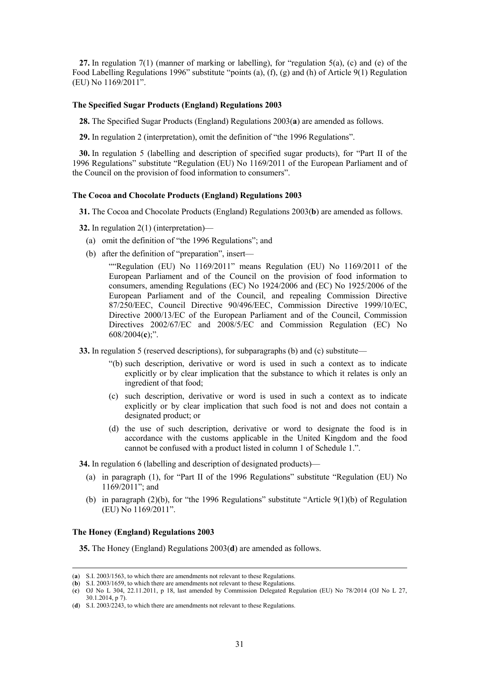**27.** In regulation 7(1) (manner of marking or labelling), for "regulation 5(a), (c) and (e) of the Food Labelling Regulations 1996" substitute "points (a), (f), (g) and (h) of Article 9(1) Regulation (EU) No 1169/2011".

### **The Specified Sugar Products (England) Regulations 2003**

**28.** The Specified Sugar Products (England) Regulations 2003(**a**) are amended as follows.

**29.** In regulation 2 (interpretation), omit the definition of "the 1996 Regulations".

**30.** In regulation 5 (labelling and description of specified sugar products), for "Part II of the 1996 Regulations" substitute "Regulation (EU) No 1169/2011 of the European Parliament and of the Council on the provision of food information to consumers".

### **The Cocoa and Chocolate Products (England) Regulations 2003**

**31.** The Cocoa and Chocolate Products (England) Regulations 2003(**b**) are amended as follows.

**32.** In regulation 2(1) (interpretation)—

- (a) omit the definition of "the 1996 Regulations"; and
- (b) after the definition of "preparation", insert—

""Regulation (EU) No 1169/2011" means Regulation (EU) No 1169/2011 of the European Parliament and of the Council on the provision of food information to consumers, amending Regulations (EC) No 1924/2006 and (EC) No 1925/2006 of the European Parliament and of the Council, and repealing Commission Directive 87/250/EEC, Council Directive 90/496/EEC, Commission Directive 1999/10/EC, Directive 2000/13/EC of the European Parliament and of the Council, Commission Directives 2002/67/EC and 2008/5/EC and Commission Regulation (EC) No 608/2004(**c**);".

- **33.** In regulation 5 (reserved descriptions), for subparagraphs (b) and (c) substitute—
	- "(b) such description, derivative or word is used in such a context as to indicate explicitly or by clear implication that the substance to which it relates is only an ingredient of that food;
	- (c) such description, derivative or word is used in such a context as to indicate explicitly or by clear implication that such food is not and does not contain a designated product; or
	- (d) the use of such description, derivative or word to designate the food is in accordance with the customs applicable in the United Kingdom and the food cannot be confused with a product listed in column 1 of Schedule 1.".

**34.** In regulation 6 (labelling and description of designated products)—

- (a) in paragraph (1), for "Part II of the 1996 Regulations" substitute "Regulation (EU) No 1169/2011"; and
- (b) in paragraph  $(2)(b)$ , for "the 1996 Regulations" substitute "Article  $9(1)(b)$  of Regulation (EU) No 1169/2011".

### **The Honey (England) Regulations 2003**

**35.** The Honey (England) Regulations 2003(**d**) are amended as follows.

 <sup>(</sup>**a**) S.I. 2003/1563, to which there are amendments not relevant to these Regulations.

<sup>(</sup>**b**) S.I. 2003/1659, to which there are amendments not relevant to these Regulations.

<sup>(</sup>**c**) OJ No L 304, 22.11.2011, p 18, last amended by Commission Delegated Regulation (EU) No 78/2014 (OJ No L 27, 30.1.2014, p 7).

<sup>(</sup>**d**) S.I. 2003/2243, to which there are amendments not relevant to these Regulations.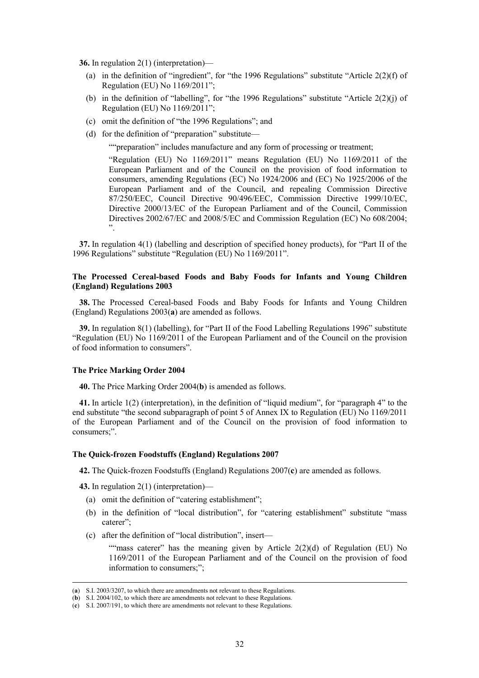**36.** In regulation 2(1) (interpretation)—

- (a) in the definition of "ingredient", for "the 1996 Regulations" substitute "Article 2(2)(f) of Regulation (EU) No 1169/2011";
- (b) in the definition of "labelling", for "the 1996 Regulations" substitute "Article 2(2)(j) of Regulation (EU) No 1169/2011";
- (c) omit the definition of "the 1996 Regulations"; and
- (d) for the definition of "preparation" substitute—

""preparation" includes manufacture and any form of processing or treatment;

"Regulation (EU) No 1169/2011" means Regulation (EU) No 1169/2011 of the European Parliament and of the Council on the provision of food information to consumers, amending Regulations (EC) No 1924/2006 and (EC) No 1925/2006 of the European Parliament and of the Council, and repealing Commission Directive 87/250/EEC, Council Directive 90/496/EEC, Commission Directive 1999/10/EC, Directive 2000/13/EC of the European Parliament and of the Council, Commission Directives 2002/67/EC and 2008/5/EC and Commission Regulation (EC) No 608/2004; ".

**37.** In regulation 4(1) (labelling and description of specified honey products), for "Part II of the 1996 Regulations" substitute "Regulation (EU) No 1169/2011".

### **The Processed Cereal-based Foods and Baby Foods for Infants and Young Children (England) Regulations 2003**

**38.** The Processed Cereal-based Foods and Baby Foods for Infants and Young Children (England) Regulations 2003(**a**) are amended as follows.

**39.** In regulation 8(1) (labelling), for "Part II of the Food Labelling Regulations 1996" substitute "Regulation (EU) No 1169/2011 of the European Parliament and of the Council on the provision of food information to consumers".

### **The Price Marking Order 2004**

**40.** The Price Marking Order 2004(**b**) is amended as follows.

**41.** In article 1(2) (interpretation), in the definition of "liquid medium", for "paragraph 4" to the end substitute "the second subparagraph of point 5 of Annex IX to Regulation (EU) No 1169/2011 of the European Parliament and of the Council on the provision of food information to consumers;".

### **The Quick-frozen Foodstuffs (England) Regulations 2007**

**42.** The Quick-frozen Foodstuffs (England) Regulations 2007(**c**) are amended as follows.

**43.** In regulation 2(1) (interpretation)—

- (a) omit the definition of "catering establishment";
- (b) in the definition of "local distribution", for "catering establishment" substitute "mass caterer";
- (c) after the definition of "local distribution", insert—

""mass caterer" has the meaning given by Article  $2(2)(d)$  of Regulation (EU) No 1169/2011 of the European Parliament and of the Council on the provision of food information to consumers;";

 <sup>(</sup>**a**) S.I. 2003/3207, to which there are amendments not relevant to these Regulations.

<sup>(</sup>**b**) S.I. 2004/102, to which there are amendments not relevant to these Regulations.

<sup>(</sup>**c**) S.I. 2007/191, to which there are amendments not relevant to these Regulations.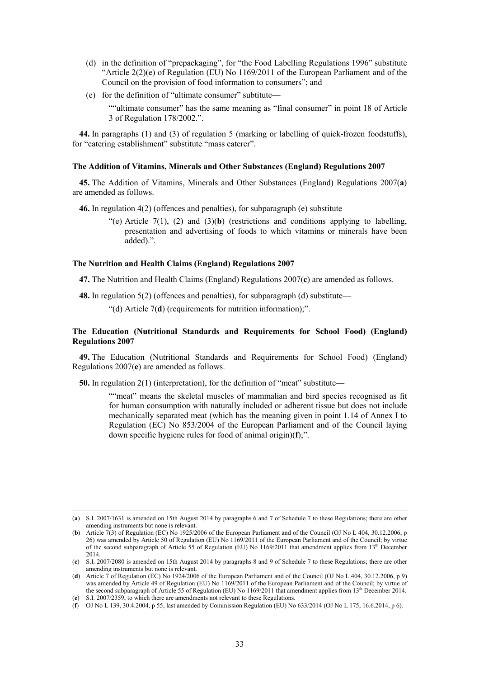- (d) in the definition of "prepackaging", for "the Food Labelling Regulations 1996" substitute "Article  $2(2)(e)$  of Regulation (EU) No  $1169/2011$  of the European Parliament and of the Council on the provision of food information to consumers"; and
- (e) for the definition of "ultimate consumer" subtitute—

""ultimate consumer" has the same meaning as "final consumer" in point 18 of Article 3 of Regulation 178/2002.".

**44.** In paragraphs (1) and (3) of regulation 5 (marking or labelling of quick-frozen foodstuffs), for "catering establishment" substitute "mass caterer".

### **The Addition of Vitamins, Minerals and Other Substances (England) Regulations 2007**

**45.** The Addition of Vitamins, Minerals and Other Substances (England) Regulations 2007(**a**) are amended as follows.

**46.** In regulation 4(2) (offences and penalties), for subparagraph (e) substitute—

"(e) Article  $7(1)$ ,  $(2)$  and  $(3)(**b**)$  (restrictions and conditions applying to labelling, presentation and advertising of foods to which vitamins or minerals have been added).".

### **The Nutrition and Health Claims (England) Regulations 2007**

**47.** The Nutrition and Health Claims (England) Regulations 2007(**c**) are amended as follows.

**48.** In regulation 5(2) (offences and penalties), for subparagraph (d) substitute—

"(d) Article 7(**d**) (requirements for nutrition information);".

### **The Education (Nutritional Standards and Requirements for School Food) (England) Regulations 2007**

**49.** The Education (Nutritional Standards and Requirements for School Food) (England) Regulations 2007(**e**) are amended as follows.

**50.** In regulation 2(1) (interpretation), for the definition of "meat" substitute—

""meat" means the skeletal muscles of mammalian and bird species recognised as fit for human consumption with naturally included or adherent tissue but does not include mechanically separated meat (which has the meaning given in point 1.14 of Annex I to Regulation (EC) No 853/2004 of the European Parliament and of the Council laying down specific hygiene rules for food of animal origin)(**f**);".

 <sup>(</sup>**a**) S.I. 2007/1631 is amended on 15th August 2014 by paragraphs 6 and 7 of Schedule 7 to these Regulations; there are other amending instruments but none is relevant.

<sup>(</sup>**b**) Article  $7(3)$  of Regulation (EC) No 1925/2006 of the European Parliament and of the Council (OJ No L 404, 30.12.2006, p 26) was amended by Article 50 of Regulation (EU) No 1169/2011 of the European Parliament and of the Council; by virtue of the second subparagraph of Article 55 of Regulation (EU) No 1169/2011 that amendment applies from 13<sup>th</sup> December 2014.

<sup>(</sup>**c**) S.I. 2007/2080 is amended on 15th August 2014 by paragraphs 8 and 9 of Schedule 7 to these Regulations; there are other amending instruments but none is relevant.

<sup>(</sup>**d**) Article 7 of Regulation (EC) No 1924/2006 of the European Parliament and of the Council (OJ No L 404, 30.12.2006, p 9) was amended by Article 49 of Regulation (EU) No 1169/2011 of the European Parliament and of the Council; by virtue of the second subparagraph of Article 55 of Regulation (EU) No 1169/2011 that amendment applies from 13<sup>th</sup> December 2014. (**e**) S.I. 2007/2359, to which there are amendments not relevant to these Regulations.

<sup>(</sup>**f**) OJ No L 139, 30.4.2004, p 55, last amended by Commission Regulation (EU) No 633/2014 (OJ No L 175, 16.6.2014, p 6).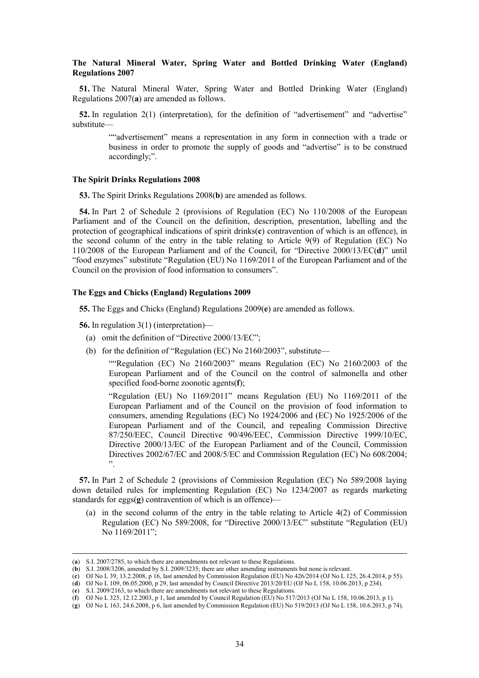### **The Natural Mineral Water, Spring Water and Bottled Drinking Water (England) Regulations 2007**

**51.** The Natural Mineral Water, Spring Water and Bottled Drinking Water (England) Regulations 2007(**a**) are amended as follows.

**52.** In regulation 2(1) (interpretation), for the definition of "advertisement" and "advertise" substitute—

> ""advertisement" means a representation in any form in connection with a trade or business in order to promote the supply of goods and "advertise" is to be construed accordingly;".

### **The Spirit Drinks Regulations 2008**

**53.** The Spirit Drinks Regulations 2008(**b**) are amended as follows.

**54.** In Part 2 of Schedule 2 (provisions of Regulation (EC) No 110/2008 of the European Parliament and of the Council on the definition, description, presentation, labelling and the protection of geographical indications of spirit drinks(**c**) contravention of which is an offence), in the second column of the entry in the table relating to Article 9(9) of Regulation (EC) No 110/2008 of the European Parliament and of the Council, for "Directive 2000/13/EC(**d**)" until "food enzymes" substitute "Regulation (EU) No 1169/2011 of the European Parliament and of the Council on the provision of food information to consumers".

### **The Eggs and Chicks (England) Regulations 2009**

**55.** The Eggs and Chicks (England) Regulations 2009(**e**) are amended as follows.

**56.** In regulation 3(1) (interpretation)—

- (a) omit the definition of "Directive 2000/13/EC";
- (b) for the definition of "Regulation (EC) No 2160/2003", substitute—

""Regulation (EC) No 2160/2003" means Regulation (EC) No 2160/2003 of the European Parliament and of the Council on the control of salmonella and other specified food-borne zoonotic agents(**f**);

"Regulation (EU) No 1169/2011" means Regulation (EU) No 1169/2011 of the European Parliament and of the Council on the provision of food information to consumers, amending Regulations (EC) No 1924/2006 and (EC) No 1925/2006 of the European Parliament and of the Council, and repealing Commission Directive 87/250/EEC, Council Directive 90/496/EEC, Commission Directive 1999/10/EC, Directive 2000/13/EC of the European Parliament and of the Council, Commission Directives 2002/67/EC and 2008/5/EC and Commission Regulation (EC) No 608/2004; ".

**57.** In Part 2 of Schedule 2 (provisions of Commission Regulation (EC) No 589/2008 laying down detailed rules for implementing Regulation (EC) No 1234/2007 as regards marketing standards for eggs(**g**) contravention of which is an offence)—

(a) in the second column of the entry in the table relating to Article 4(2) of Commission Regulation (EC) No 589/2008, for "Directive 2000/13/EC" substitute "Regulation (EU) No 1169/2011";

(**d**) OJ No L 109, 06.05.2000, p 29, last amended by Council Directive 2013/20/EU (OJ No L 158, 10.06.2013, p 234).

 <sup>(</sup>**a**) S.I. 2007/2785, to which there are amendments not relevant to these Regulations.

<sup>(</sup>**b**) S.I. 2008/3206, amended by S.I. 2009/3235; there are other amending instruments but none is relevant.

<sup>(</sup>**c**) OJ No L 39, 13.2.2008, p 16, last amended by Commission Regulation (EU) No 426/2014 (OJ No L 125, 26.4.2014, p 55).

<sup>(</sup>**e**) S.I. 2009/2163, to which there are amendments not relevant to these Regulations.

<sup>(</sup>**f**) OJ No L 325, 12.12.2003, p 1, last amended by Council Regulation (EU) No 517/2013 (OJ No L 158, 10.06.2013, p 1).

<sup>(</sup>**g**) OJ No L 163, 24.6.2008, p 6, last amended by Commission Regulation (EU) No 519/2013 (OJ No L 158, 10.6.2013, p 74).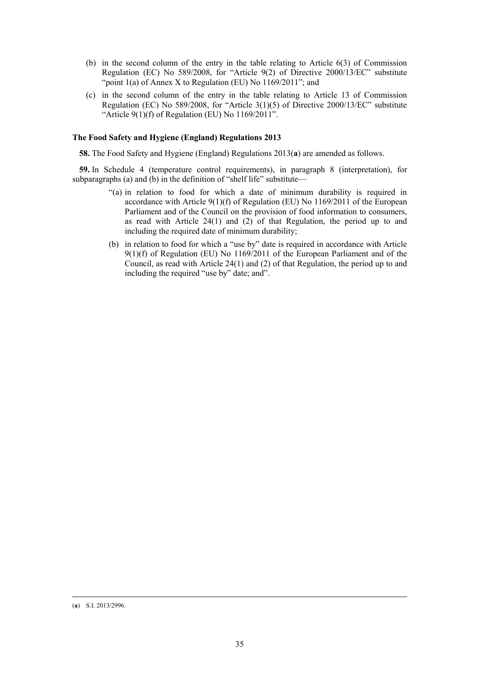- (b) in the second column of the entry in the table relating to Article 6(3) of Commission Regulation (EC) No 589/2008, for "Article 9(2) of Directive 2000/13/EC" substitute "point 1(a) of Annex X to Regulation (EU) No 1169/2011"; and
- (c) in the second column of the entry in the table relating to Article 13 of Commission Regulation (EC) No 589/2008, for "Article 3(1)(5) of Directive 2000/13/EC" substitute "Article  $9(1)(f)$  of Regulation (EU) No  $1169/2011$ ".

### **The Food Safety and Hygiene (England) Regulations 2013**

**58.** The Food Safety and Hygiene (England) Regulations 2013(**a**) are amended as follows.

**59.** In Schedule 4 (temperature control requirements), in paragraph 8 (interpretation), for subparagraphs (a) and (b) in the definition of "shelf life" substitute—

- "(a) in relation to food for which a date of minimum durability is required in accordance with Article  $9(1)(f)$  of Regulation (EU) No 1169/2011 of the European Parliament and of the Council on the provision of food information to consumers, as read with Article 24(1) and (2) of that Regulation, the period up to and including the required date of minimum durability;
- (b) in relation to food for which a "use by" date is required in accordance with Article 9(1)(f) of Regulation (EU) No 1169/2011 of the European Parliament and of the Council, as read with Article 24(1) and (2) of that Regulation, the period up to and including the required "use by" date; and".

#### (**a**) S.I. 2013/2996.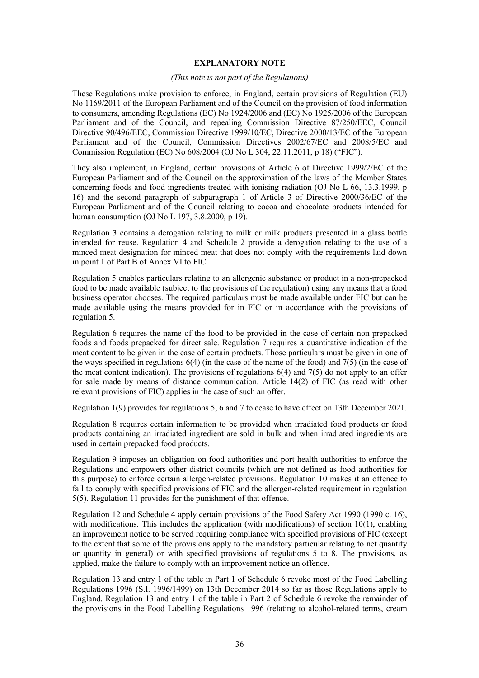### **EXPLANATORY NOTE**

### *(This note is not part of the Regulations)*

These Regulations make provision to enforce, in England, certain provisions of Regulation (EU) No 1169/2011 of the European Parliament and of the Council on the provision of food information to consumers, amending Regulations (EC) No 1924/2006 and (EC) No 1925/2006 of the European Parliament and of the Council, and repealing Commission Directive 87/250/EEC, Council Directive 90/496/EEC, Commission Directive 1999/10/EC, Directive 2000/13/EC of the European Parliament and of the Council, Commission Directives 2002/67/EC and 2008/5/EC and Commission Regulation (EC) No 608/2004 (OJ No L 304, 22.11.2011, p 18) ("FIC").

They also implement, in England, certain provisions of Article 6 of Directive 1999/2/EC of the European Parliament and of the Council on the approximation of the laws of the Member States concerning foods and food ingredients treated with ionising radiation (OJ No L 66, 13.3.1999, p 16) and the second paragraph of subparagraph 1 of Article 3 of Directive 2000/36/EC of the European Parliament and of the Council relating to cocoa and chocolate products intended for human consumption (OJ No L 197, 3.8.2000, p 19).

Regulation 3 contains a derogation relating to milk or milk products presented in a glass bottle intended for reuse. Regulation 4 and Schedule 2 provide a derogation relating to the use of a minced meat designation for minced meat that does not comply with the requirements laid down in point 1 of Part B of Annex VI to FIC.

Regulation 5 enables particulars relating to an allergenic substance or product in a non-prepacked food to be made available (subject to the provisions of the regulation) using any means that a food business operator chooses. The required particulars must be made available under FIC but can be made available using the means provided for in FIC or in accordance with the provisions of regulation 5.

Regulation 6 requires the name of the food to be provided in the case of certain non-prepacked foods and foods prepacked for direct sale. Regulation 7 requires a quantitative indication of the meat content to be given in the case of certain products. Those particulars must be given in one of the ways specified in regulations 6(4) (in the case of the name of the food) and 7(5) (in the case of the meat content indication). The provisions of regulations  $6(4)$  and  $7(5)$  do not apply to an offer for sale made by means of distance communication. Article 14(2) of FIC (as read with other relevant provisions of FIC) applies in the case of such an offer.

Regulation 1(9) provides for regulations 5, 6 and 7 to cease to have effect on 13th December 2021.

Regulation 8 requires certain information to be provided when irradiated food products or food products containing an irradiated ingredient are sold in bulk and when irradiated ingredients are used in certain prepacked food products.

Regulation 9 imposes an obligation on food authorities and port health authorities to enforce the Regulations and empowers other district councils (which are not defined as food authorities for this purpose) to enforce certain allergen-related provisions. Regulation 10 makes it an offence to fail to comply with specified provisions of FIC and the allergen-related requirement in regulation 5(5). Regulation 11 provides for the punishment of that offence.

Regulation 12 and Schedule 4 apply certain provisions of the Food Safety Act 1990 (1990 c. 16), with modifications. This includes the application (with modifications) of section 10(1), enabling an improvement notice to be served requiring compliance with specified provisions of FIC (except to the extent that some of the provisions apply to the mandatory particular relating to net quantity or quantity in general) or with specified provisions of regulations 5 to 8. The provisions, as applied, make the failure to comply with an improvement notice an offence.

Regulation 13 and entry 1 of the table in Part 1 of Schedule 6 revoke most of the Food Labelling Regulations 1996 (S.I. 1996/1499) on 13th December 2014 so far as those Regulations apply to England. Regulation 13 and entry 1 of the table in Part 2 of Schedule 6 revoke the remainder of the provisions in the Food Labelling Regulations 1996 (relating to alcohol-related terms, cream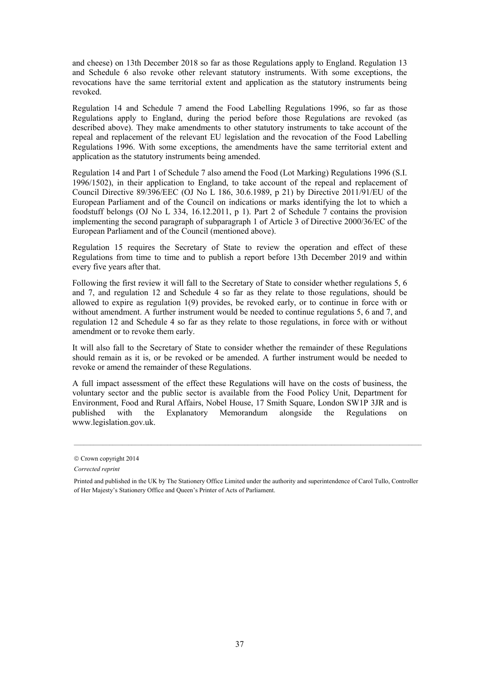and cheese) on 13th December 2018 so far as those Regulations apply to England. Regulation 13 and Schedule 6 also revoke other relevant statutory instruments. With some exceptions, the revocations have the same territorial extent and application as the statutory instruments being revoked.

Regulation 14 and Schedule 7 amend the Food Labelling Regulations 1996, so far as those Regulations apply to England, during the period before those Regulations are revoked (as described above). They make amendments to other statutory instruments to take account of the repeal and replacement of the relevant EU legislation and the revocation of the Food Labelling Regulations 1996. With some exceptions, the amendments have the same territorial extent and application as the statutory instruments being amended.

Regulation 14 and Part 1 of Schedule 7 also amend the Food (Lot Marking) Regulations 1996 (S.I. 1996/1502), in their application to England, to take account of the repeal and replacement of Council Directive 89/396/EEC (OJ No L 186, 30.6.1989, p 21) by Directive 2011/91/EU of the European Parliament and of the Council on indications or marks identifying the lot to which a foodstuff belongs (OJ No L 334, 16.12.2011, p 1). Part 2 of Schedule 7 contains the provision implementing the second paragraph of subparagraph 1 of Article 3 of Directive 2000/36/EC of the European Parliament and of the Council (mentioned above).

Regulation 15 requires the Secretary of State to review the operation and effect of these Regulations from time to time and to publish a report before 13th December 2019 and within every five years after that.

Following the first review it will fall to the Secretary of State to consider whether regulations 5, 6 and 7, and regulation 12 and Schedule 4 so far as they relate to those regulations, should be allowed to expire as regulation 1(9) provides, be revoked early, or to continue in force with or without amendment. A further instrument would be needed to continue regulations 5, 6 and 7, and regulation 12 and Schedule 4 so far as they relate to those regulations, in force with or without amendment or to revoke them early.

It will also fall to the Secretary of State to consider whether the remainder of these Regulations should remain as it is, or be revoked or be amended. A further instrument would be needed to revoke or amend the remainder of these Regulations.

A full impact assessment of the effect these Regulations will have on the costs of business, the voluntary sector and the public sector is available from the Food Policy Unit, Department for Environment, Food and Rural Affairs, Nobel House, 17 Smith Square, London SW1P 3JR and is published with the Explanatory Memorandum alongside the Regulations on www.legislation.gov.uk.

 $\mathcal{L}_\mathcal{L} = \{ \mathcal{L}_\mathcal{L} = \{ \mathcal{L}_\mathcal{L} = \{ \mathcal{L}_\mathcal{L} = \{ \mathcal{L}_\mathcal{L} = \{ \mathcal{L}_\mathcal{L} = \{ \mathcal{L}_\mathcal{L} = \{ \mathcal{L}_\mathcal{L} = \{ \mathcal{L}_\mathcal{L} = \{ \mathcal{L}_\mathcal{L} = \{ \mathcal{L}_\mathcal{L} = \{ \mathcal{L}_\mathcal{L} = \{ \mathcal{L}_\mathcal{L} = \{ \mathcal{L}_\mathcal{L} = \{ \mathcal{L}_\mathcal{$ 

<sup>©</sup> Crown copyright 2014

*Corrected reprint* 

Printed and published in the UK by The Stationery Office Limited under the authority and superintendence of Carol Tullo, Controller of Her Majesty's Stationery Office and Queen's Printer of Acts of Parliament.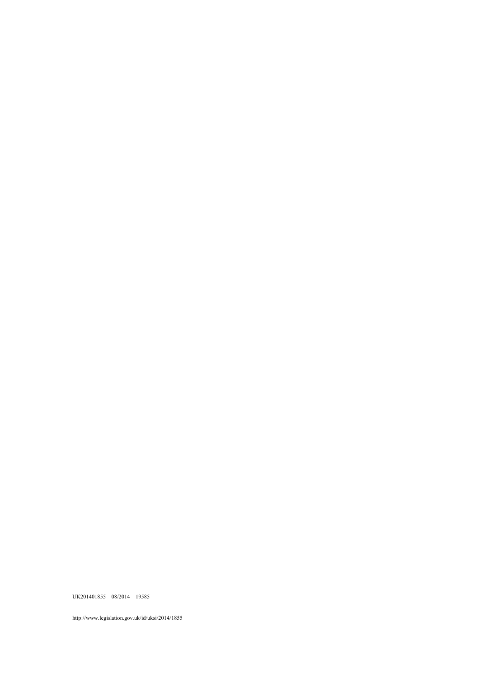http://www.legislation.gov.uk/id/uksi/2014/1855

UK201401855 08/2014 19585